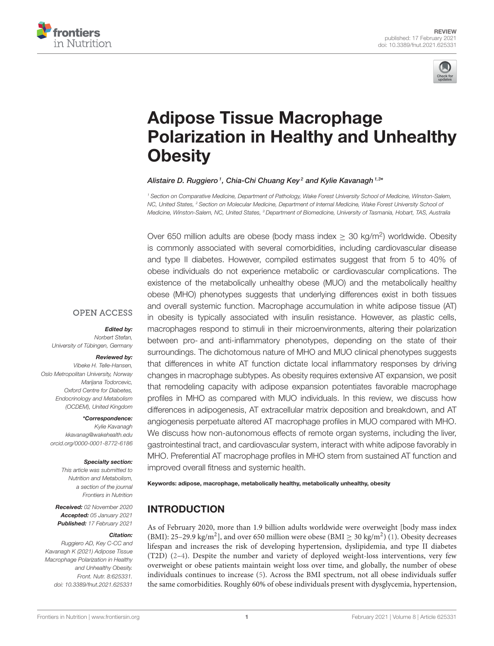



# Adipose Tissue Macrophage [Polarization in Healthy and Unhealthy](https://www.frontiersin.org/articles/10.3389/fnut.2021.625331/full) **Obesity**

#### Alistaire D. Ruggiero<sup>1</sup>, Chia-Chi Chuang Key<sup>2</sup> and Kylie Kavanagh<sup>1,3</sup>\*

<sup>1</sup> Section on Comparative Medicine, Department of Pathology, Wake Forest University School of Medicine, Winston-Salem, NC, United States, <sup>2</sup> Section on Molecular Medicine, Department of Internal Medicine, Wake Forest University School of Medicine, Winston-Salem, NC, United States, <sup>3</sup> Department of Biomedicine, University of Tasmania, Hobart, TAS, Australia

Over 650 million adults are obese (body mass index  $\geq$  30 kg/m<sup>2</sup>) worldwide. Obesity is commonly associated with several comorbidities, including cardiovascular disease and type II diabetes. However, compiled estimates suggest that from 5 to 40% of obese individuals do not experience metabolic or cardiovascular complications. The existence of the metabolically unhealthy obese (MUO) and the metabolically healthy obese (MHO) phenotypes suggests that underlying differences exist in both tissues and overall systemic function. Macrophage accumulation in white adipose tissue (AT) in obesity is typically associated with insulin resistance. However, as plastic cells, macrophages respond to stimuli in their microenvironments, altering their polarization between pro- and anti-inflammatory phenotypes, depending on the state of their surroundings. The dichotomous nature of MHO and MUO clinical phenotypes suggests that differences in white AT function dictate local inflammatory responses by driving changes in macrophage subtypes. As obesity requires extensive AT expansion, we posit that remodeling capacity with adipose expansion potentiates favorable macrophage profiles in MHO as compared with MUO individuals. In this review, we discuss how differences in adipogenesis, AT extracellular matrix deposition and breakdown, and AT angiogenesis perpetuate altered AT macrophage profiles in MUO compared with MHO. We discuss how non-autonomous effects of remote organ systems, including the liver, gastrointestinal tract, and cardiovascular system, interact with white adipose favorably in MHO. Preferential AT macrophage profiles in MHO stem from sustained AT function and improved overall fitness and systemic health.

Keywords: adipose, macrophage, metabolically healthy, metabolically unhealthy, obesity

# INTRODUCTION

As of February 2020, more than 1.9 billion adults worldwide were overweight [body mass index (BMI): 25-29.9 kg/m<sup>2</sup>], and over 650 million were obese (BMI  $\geq$  30 kg/m<sup>2</sup>) [\(1\)](#page-8-0). Obesity decreases lifespan and increases the risk of developing hypertension, dyslipidemia, and type II diabetes (T2D) [\(2](#page-8-1)[–4\)](#page-8-2). Despite the number and variety of deployed weight-loss interventions, very few overweight or obese patients maintain weight loss over time, and globally, the number of obese individuals continues to increase [\(5\)](#page-8-3). Across the BMI spectrum, not all obese individuals suffer the same comorbidities. Roughly 60% of obese individuals present with dysglycemia, hypertension,

### **OPEN ACCESS**

#### Edited by:

Norbert Stefan, University of Tübingen, Germany

#### Reviewed by:

Vibeke H. Telle-Hansen, Oslo Metropolitan University, Norway Marijana Todorcevic, Oxford Centre for Diabetes Endocrinology and Metabolism (OCDEM), United Kingdom

\*Correspondence:

Kylie Kavanagh [kkavanag@wakehealth.edu](mailto:kkavanag@wakehealth.edu) [orcid.org/0000-0001-8772-6186](http://orcid.org/0000-0001-8772-6186)

#### Specialty section:

This article was submitted to Nutrition and Metabolism, a section of the journal Frontiers in Nutrition

Received: 02 November 2020 Accepted: 05 January 2021 Published: 17 February 2021

#### Citation:

Ruggiero AD, Key C-CC and Kavanagh K (2021) Adipose Tissue Macrophage Polarization in Healthy and Unhealthy Obesity. Front. Nutr. 8:625331. doi: [10.3389/fnut.2021.625331](https://doi.org/10.3389/fnut.2021.625331)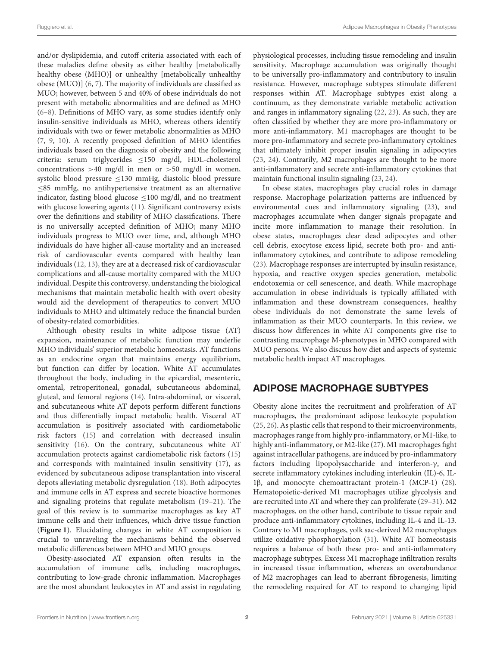and/or dyslipidemia, and cutoff criteria associated with each of these maladies define obesity as either healthy [metabolically healthy obese (MHO)] or unhealthy [metabolically unhealthy obese (MUO)] [\(6,](#page-8-4) [7\)](#page-8-5). The majority of individuals are classified as MUO; however, between 5 and 40% of obese individuals do not present with metabolic abnormalities and are defined as MHO [\(6–](#page-8-4)[8\)](#page-8-6). Definitions of MHO vary, as some studies identify only insulin-sensitive individuals as MHO, whereas others identify individuals with two or fewer metabolic abnormalities as MHO [\(7,](#page-8-5) [9,](#page-8-7) [10\)](#page-8-8). A recently proposed definition of MHO identifies individuals based on the diagnosis of obesity and the following criteria: serum triglycerides ≤150 mg/dl, HDL-cholesterol concentrations >40 mg/dl in men or >50 mg/dl in women, systolic blood pressure ≤130 mmHg, diastolic blood pressure ≤85 mmHg, no antihypertensive treatment as an alternative indicator, fasting blood glucose  $\leq$ 100 mg/dl, and no treatment with glucose lowering agents [\(11\)](#page-8-9). Significant controversy exists over the definitions and stability of MHO classifications. There is no universally accepted definition of MHO; many MHO individuals progress to MUO over time, and, although MHO individuals do have higher all-cause mortality and an increased risk of cardiovascular events compared with healthy lean individuals [\(12,](#page-8-10) [13\)](#page-8-11), they are at a decreased risk of cardiovascular complications and all-cause mortality compared with the MUO individual. Despite this controversy, understanding the biological mechanisms that maintain metabolic health with overt obesity would aid the development of therapeutics to convert MUO individuals to MHO and ultimately reduce the financial burden of obesity-related comorbidities.

Although obesity results in white adipose tissue (AT) expansion, maintenance of metabolic function may underlie MHO individuals' superior metabolic homeostasis. AT functions as an endocrine organ that maintains energy equilibrium, but function can differ by location. White AT accumulates throughout the body, including in the epicardial, mesenteric, omental, retroperitoneal, gonadal, subcutaneous abdominal, gluteal, and femoral regions [\(14\)](#page-9-0). Intra-abdominal, or visceral, and subcutaneous white AT depots perform different functions and thus differentially impact metabolic health. Visceral AT accumulation is positively associated with cardiometabolic risk factors [\(15\)](#page-9-1) and correlation with decreased insulin sensitivity [\(16\)](#page-9-2). On the contrary, subcutaneous white AT accumulation protects against cardiometabolic risk factors [\(15\)](#page-9-1) and corresponds with maintained insulin sensitivity [\(17\)](#page-9-3), as evidenced by subcutaneous adipose transplantation into visceral depots alleviating metabolic dysregulation [\(18\)](#page-9-4). Both adipocytes and immune cells in AT express and secrete bioactive hormones and signaling proteins that regulate metabolism [\(19–](#page-9-5)[21\)](#page-9-6). The goal of this review is to summarize macrophages as key AT immune cells and their influences, which drive tissue function (**[Figure 1](#page-2-0)**). Elucidating changes in white AT composition is crucial to unraveling the mechanisms behind the observed metabolic differences between MHO and MUO groups.

Obesity-associated AT expansion often results in the accumulation of immune cells, including macrophages, contributing to low-grade chronic inflammation. Macrophages are the most abundant leukocytes in AT and assist in regulating physiological processes, including tissue remodeling and insulin sensitivity. Macrophage accumulation was originally thought to be universally pro-inflammatory and contributory to insulin resistance. However, macrophage subtypes stimulate different responses within AT. Macrophage subtypes exist along a continuum, as they demonstrate variable metabolic activation and ranges in inflammatory signaling [\(22,](#page-9-7) [23\)](#page-9-8). As such, they are often classified by whether they are more pro-inflammatory or more anti-inflammatory. M1 macrophages are thought to be more pro-inflammatory and secrete pro-inflammatory cytokines that ultimately inhibit proper insulin signaling in adipocytes [\(23,](#page-9-8) [24\)](#page-9-9). Contrarily, M2 macrophages are thought to be more anti-inflammatory and secrete anti-inflammatory cytokines that maintain functional insulin signaling [\(23,](#page-9-8) [24\)](#page-9-9).

In obese states, macrophages play crucial roles in damage response. Macrophage polarization patterns are influenced by environmental cues and inflammatory signaling [\(23\)](#page-9-8), and macrophages accumulate when danger signals propagate and incite more inflammation to manage their resolution. In obese states, macrophages clear dead adipocytes and other cell debris, exocytose excess lipid, secrete both pro- and antiinflammatory cytokines, and contribute to adipose remodeling [\(23\)](#page-9-8). Macrophage responses are interrupted by insulin resistance, hypoxia, and reactive oxygen species generation, metabolic endotoxemia or cell senescence, and death. While macrophage accumulation in obese individuals is typically affiliated with inflammation and these downstream consequences, healthy obese individuals do not demonstrate the same levels of inflammation as their MUO counterparts. In this review, we discuss how differences in white AT components give rise to contrasting macrophage M-phenotypes in MHO compared with MUO persons. We also discuss how diet and aspects of systemic metabolic health impact AT macrophages.

# ADIPOSE MACROPHAGE SUBTYPES

Obesity alone incites the recruitment and proliferation of AT macrophages, the predominant adipose leukocyte population [\(25,](#page-9-10) [26\)](#page-9-11). As plastic cells that respond to their microenvironments, macrophages range from highly pro-inflammatory, or M1-like, to highly anti-inflammatory, or M2-like [\(27\)](#page-9-12). M1 macrophages fight against intracellular pathogens, are induced by pro-inflammatory factors including lipopolysaccharide and interferon-γ, and secrete inflammatory cytokines including interleukin (IL)-6, IL-1β, and monocyte chemoattractant protein-1 (MCP-1) [\(28\)](#page-9-13). Hematopoietic-derived M1 macrophages utilize glycolysis and are recruited into AT and where they can proliferate [\(29–](#page-9-14)[31\)](#page-9-15). M2 macrophages, on the other hand, contribute to tissue repair and produce anti-inflammatory cytokines, including IL-4 and IL-13. Contrary to M1 macrophages, yolk sac-derived M2 macrophages utilize oxidative phosphorylation [\(31\)](#page-9-15). White AT homeostasis requires a balance of both these pro- and anti-inflammatory macrophage subtypes. Excess M1 macrophage infiltration results in increased tissue inflammation, whereas an overabundance of M2 macrophages can lead to aberrant fibrogenesis, limiting the remodeling required for AT to respond to changing lipid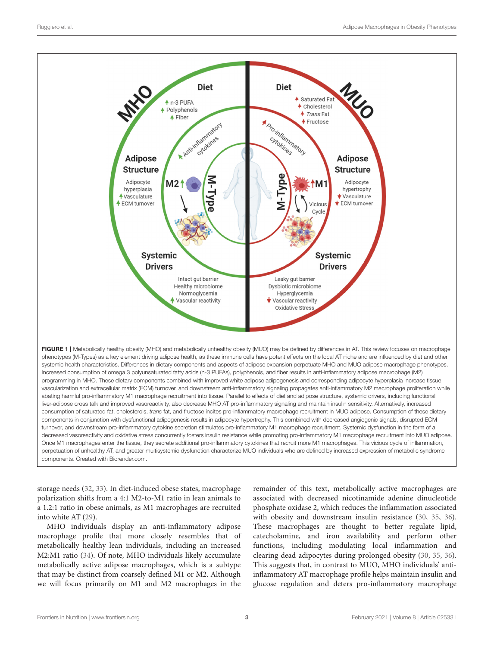

<span id="page-2-0"></span>FIGURE 1 | Metabolically healthy obesity (MHO) and metabolically unhealthy obesity (MUO) may be defined by differences in AT. This review focuses on macrophage phenotypes (M-Types) as a key element driving adipose health, as these immune cells have potent effects on the local AT niche and are influenced by diet and other systemic health characteristics. Differences in dietary components and aspects of adipose expansion perpetuate MHO and MUO adipose macrophage phenotypes. Increased consumption of omega 3 polyunsaturated fatty acids (n-3 PUFAs), polyphenols, and fiber results in anti-inflammatory adipose macrophage (M2) programming in MHO. These dietary components combined with improved white adipose adipogenesis and corresponding adipocyte hyperplasia increase tissue vascularization and extracellular matrix (ECM) turnover, and downstream anti-inflammatory signaling propagates anti-inflammatory M2 macrophage proliferation while abating harmful pro-inflammatory M1 macrophage recruitment into tissue. Parallel to effects of diet and adipose structure, systemic drivers, including functional liver-adipose cross talk and improved vasoreactivity, also decrease MHO AT pro-inflammatory signaling and maintain insulin sensitivity. Alternatively, increased consumption of saturated fat, cholesterols, trans fat, and fructose incites pro-inflammatory macrophage recruitment in MUO adipose. Consumption of these dietary components in conjunction with dysfunctional adipogenesis results in adipocyte hypertrophy. This combined with decreased angiogenic signals, disrupted ECM turnover, and downstream pro-inflammatory cytokine secretion stimulates pro-inflammatory M1 macrophage recruitment. Systemic dysfunction in the form of a decreased vasoreactivity and oxidative stress concurrently fosters insulin resistance while promoting pro-inflammatory M1 macrophage recruitment into MUO adipose. Once M1 macrophages enter the tissue, they secrete additional pro-inflammatory cytokines that recruit more M1 macrophages. This vicious cycle of inflammation, perpetuation of unhealthy AT, and greater multisystemic dysfunction characterize MUO individuals who are defined by increased expression of metabolic syndrome components. Created with [Biorender.com.](https://Biorender.com)

storage needs [\(32,](#page-9-16) [33\)](#page-9-17). In diet-induced obese states, macrophage polarization shifts from a 4:1 M2-to-M1 ratio in lean animals to a 1.2:1 ratio in obese animals, as M1 macrophages are recruited into white AT [\(29\)](#page-9-14).

MHO individuals display an anti-inflammatory adipose macrophage profile that more closely resembles that of metabolically healthy lean individuals, including an increased M2:M1 ratio [\(34\)](#page-9-18). Of note, MHO individuals likely accumulate metabolically active adipose macrophages, which is a subtype that may be distinct from coarsely defined M1 or M2. Although we will focus primarily on M1 and M2 macrophages in the

remainder of this text, metabolically active macrophages are associated with decreased nicotinamide adenine dinucleotide phosphate oxidase 2, which reduces the inflammation associated with obesity and downstream insulin resistance [\(30,](#page-9-19) [35,](#page-9-20) [36\)](#page-9-21). These macrophages are thought to better regulate lipid, catecholamine, and iron availability and perform other functions, including modulating local inflammation and clearing dead adipocytes during prolonged obesity [\(30,](#page-9-19) [35,](#page-9-20) [36\)](#page-9-21). This suggests that, in contrast to MUO, MHO individuals' antiinflammatory AT macrophage profile helps maintain insulin and glucose regulation and deters pro-inflammatory macrophage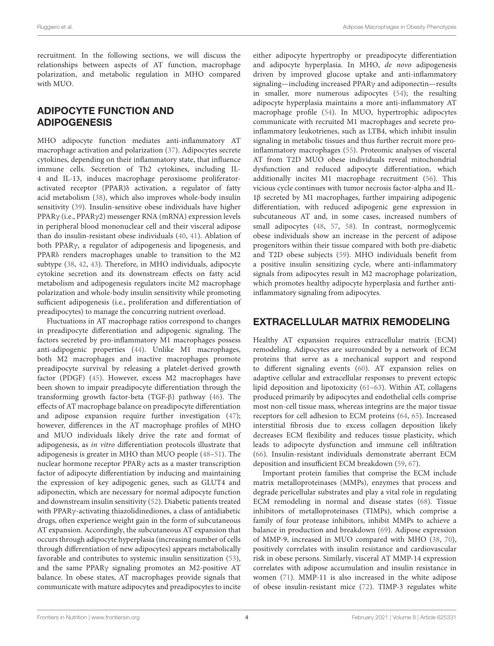recruitment. In the following sections, we will discuss the relationships between aspects of AT function, macrophage polarization, and metabolic regulation in MHO compared with MUO.

# ADIPOCYTE FUNCTION AND ADIPOGENESIS

MHO adipocyte function mediates anti-inflammatory AT macrophage activation and polarization [\(37\)](#page-9-22). Adipocytes secrete cytokines, depending on their inflammatory state, that influence immune cells. Secretion of Th2 cytokines, including IL-4 and IL-13, induces macrophage peroxisome proliferatoractivated receptor (PPAR)δ activation, a regulator of fatty acid metabolism [\(38\)](#page-9-23), which also improves whole-body insulin sensitivity [\(39\)](#page-9-24). Insulin-sensitive obese individuals have higher PPARγ (i.e., PPARγ2) messenger RNA (mRNA) expression levels in peripheral blood mononuclear cell and their visceral adipose than do insulin-resistant obese individuals [\(40,](#page-9-25) [41\)](#page-9-26). Ablation of both PPARγ, a regulator of adipogenesis and lipogenesis, and PPARδ renders macrophages unable to transition to the M2 subtype [\(38,](#page-9-23) [42,](#page-9-27) [43\)](#page-9-28). Therefore, in MHO individuals, adipocyte cytokine secretion and its downstream effects on fatty acid metabolism and adipogenesis regulators incite M2 macrophage polarization and whole-body insulin sensitivity while promoting sufficient adipogenesis (i.e., proliferation and differentiation of preadipocytes) to manage the concurring nutrient overload.

Fluctuations in AT macrophage ratios correspond to changes in preadipocyte differentiation and adipogenic signaling. The factors secreted by pro-inflammatory M1 macrophages possess anti-adipogenic properties [\(44\)](#page-9-29). Unlike M1 macrophages, both M2 macrophages and inactive macrophages promote preadipocyte survival by releasing a platelet-derived growth factor (PDGF) [\(45\)](#page-9-30). However, excess M2 macrophages have been shown to impair preadipocyte differentiation through the transforming growth factor-beta (TGF-β) pathway [\(46\)](#page-9-31). The effects of AT macrophage balance on preadipocyte differentiation and adipose expansion require further investigation [\(47\)](#page-9-32); however, differences in the AT macrophage profiles of MHO and MUO individuals likely drive the rate and format of adipogenesis, as in vitro differentiation protocols illustrate that adipogenesis is greater in MHO than MUO people [\(48](#page-9-33)[–51\)](#page-9-34). The nuclear hormone receptor PPARγ acts as a master transcription factor of adipocyte differentiation by inducing and maintaining the expression of key adipogenic genes, such as GLUT4 and adiponectin, which are necessary for normal adipocyte function and downstream insulin sensitivity [\(52\)](#page-9-35). Diabetic patients treated with PPARγ-activating thiazolidinediones, a class of antidiabetic drugs, often experience weight gain in the form of subcutaneous AT expansion. Accordingly, the subcutaneous AT expansion that occurs through adipocyte hyperplasia (increasing number of cells through differentiation of new adipocytes) appears metabolically favorable and contributes to systemic insulin sensitization [\(53\)](#page-10-0), and the same PPARγ signaling promotes an M2-positive AT balance. In obese states, AT macrophages provide signals that communicate with mature adipocytes and preadipocytes to incite either adipocyte hypertrophy or preadipocyte differentiation and adipocyte hyperplasia. In MHO, de novo adipogenesis driven by improved glucose uptake and anti-inflammatory signaling—including increased PPARγ and adiponectin—results in smaller, more numerous adipocytes [\(54\)](#page-10-1); the resulting adipocyte hyperplasia maintains a more anti-inflammatory AT macrophage profile [\(54\)](#page-10-1). In MUO, hypertrophic adipocytes communicate with recruited M1 macrophages and secrete proinflammatory leukotrienes, such as LTB4, which inhibit insulin signaling in metabolic tissues and thus further recruit more proinflammatory macrophages [\(55\)](#page-10-2). Proteomic analyses of visceral AT from T2D MUO obese individuals reveal mitochondrial dysfunction and reduced adipocyte differentiation, which additionally incites M1 macrophage recruitment [\(56\)](#page-10-3). This vicious cycle continues with tumor necrosis factor-alpha and IL-1β secreted by M1 macrophages, further impairing adipogenic differentiation, with reduced adipogenic gene expression in subcutaneous AT and, in some cases, increased numbers of small adipocytes [\(48,](#page-9-33) [57,](#page-10-4) [58\)](#page-10-5). In contrast, normoglycemic obese individuals show an increase in the percent of adipose progenitors within their tissue compared with both pre-diabetic and T2D obese subjects [\(59\)](#page-10-6). MHO individuals benefit from a positive insulin sensitizing cycle, where anti-inflammatory signals from adipocytes result in M2 macrophage polarization, which promotes healthy adipocyte hyperplasia and further antiinflammatory signaling from adipocytes.

## EXTRACELLULAR MATRIX REMODELING

Healthy AT expansion requires extracellular matrix (ECM) remodeling. Adipocytes are surrounded by a network of ECM proteins that serve as a mechanical support and respond to different signaling events [\(60\)](#page-10-7). AT expansion relies on adaptive cellular and extracellular responses to prevent ectopic lipid deposition and lipotoxicity [\(61](#page-10-8)[–63\)](#page-10-9). Within AT, collagens produced primarily by adipocytes and endothelial cells comprise most non-cell tissue mass, whereas integrins are the major tissue receptors for cell adhesion to ECM proteins [\(64,](#page-10-10) [65\)](#page-10-11). Increased interstitial fibrosis due to excess collagen deposition likely decreases ECM flexibility and reduces tissue plasticity, which leads to adipocyte dysfunction and immune cell infiltration [\(66\)](#page-10-12). Insulin-resistant individuals demonstrate aberrant ECM deposition and insufficient ECM breakdown [\(59,](#page-10-6) [67\)](#page-10-13).

Important protein families that comprise the ECM include matrix metalloproteinases (MMPs), enzymes that process and degrade pericellular substrates and play a vital role in regulating ECM remodeling in normal and disease states [\(68\)](#page-10-14). Tissue inhibitors of metalloproteinases (TIMPs), which comprise a family of four protease inhibitors, inhibit MMPs to achieve a balance in production and breakdown [\(69\)](#page-10-15). Adipose expression of MMP-9, increased in MUO compared with MHO [\(38,](#page-9-23) [70\)](#page-10-16), positively correlates with insulin resistance and cardiovascular risk in obese persons. Similarly, visceral AT MMP-14 expression correlates with adipose accumulation and insulin resistance in women [\(71\)](#page-10-17). MMP-11 is also increased in the white adipose of obese insulin-resistant mice [\(72\)](#page-10-18). TIMP-3 regulates white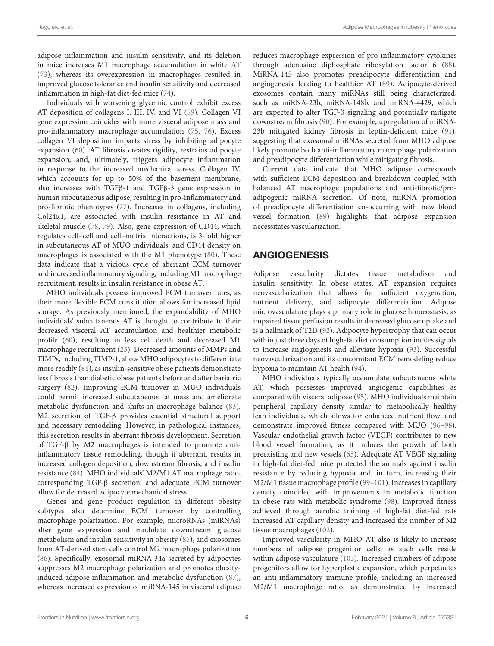adipose inflammation and insulin sensitivity, and its deletion in mice increases M1 macrophage accumulation in white AT [\(73\)](#page-10-19), whereas its overexpression in macrophages resulted in improved glucose tolerance and insulin sensitivity and decreased inflammation in high-fat diet-fed mice [\(74\)](#page-10-20).

Individuals with worsening glycemic control exhibit excess AT deposition of collagens I, III, IV, and VI [\(59\)](#page-10-6). Collagen VI gene expression coincides with more visceral adipose mass and pro-inflammatory macrophage accumulation [\(75,](#page-10-21) [76\)](#page-10-22). Excess collagen VI deposition imparts stress by inhibiting adipocyte expansion [\(60\)](#page-10-7). AT fibrosis creates rigidity, restrains adipocyte expansion, and, ultimately, triggers adipocyte inflammation in response to the increased mechanical stress. Collagen IV, which accounts for up to 50% of the basement membrane, also increases with TGFβ-1 and TGFβ-3 gene expression in human subcutaneous adipose, resulting in pro-inflammatory and pro-fibrotic phenotypes [\(77\)](#page-10-23). Increases in collagens, including Col24α1, are associated with insulin resistance in AT and skeletal muscle [\(78,](#page-10-24) [79\)](#page-10-25). Also, gene expression of CD44, which regulates cell–cell and cell–matrix interactions, is 3-fold higher in subcutaneous AT of MUO individuals, and CD44 density on macrophages is associated with the M1 phenotype [\(80\)](#page-10-26). These data indicate that a vicious cycle of aberrant ECM turnover and increased inflammatory signaling, including M1 macrophage recruitment, results in insulin resistance in obese AT.

MHO individuals possess improved ECM turnover rates, as their more flexible ECM constitution allows for increased lipid storage. As previously mentioned, the expandability of MHO individuals' subcutaneous AT is thought to contribute to their decreased visceral AT accumulation and healthier metabolic profile [\(60\)](#page-10-7), resulting in less cell death and decreased M1 macrophage recruitment [\(23\)](#page-9-8). Decreased amounts of MMPs and TIMPs, including TIMP-1, allow MHO adipocytes to differentiate more readily [\(81\)](#page-10-27), as insulin-sensitive obese patients demonstrate less fibrosis than diabetic obese patients before and after bariatric surgery [\(82\)](#page-10-28). Improving ECM turnover in MUO individuals could permit increased subcutaneous fat mass and ameliorate metabolic dysfunction and shifts in macrophage balance [\(83\)](#page-10-29). M2 secretion of TGF-β provides essential structural support and necessary remodeling. However, in pathological instances, this secretion results in aberrant fibrosis development. Secretion of TGF-β by M2 macrophages is intended to promote antiinflammatory tissue remodeling, though if aberrant, results in increased collagen deposition, downstream fibrosis, and insulin resistance [\(84\)](#page-10-30). MHO individuals' M2/M1 AT macrophage ratio, corresponding TGF-β secretion, and adequate ECM turnover allow for decreased adipocyte mechanical stress.

Genes and gene product regulation in different obesity subtypes also determine ECM turnover by controlling macrophage polarization. For example, microRNAs (miRNAs) alter gene expression and modulate downstream glucose metabolism and insulin sensitivity in obesity [\(85\)](#page-10-31), and exosomes from AT-derived stem cells control M2 macrophage polarization [\(86\)](#page-10-32). Specifically, exosomal miRNA-34a secreted by adipocytes suppresses M2 macrophage polarization and promotes obesityinduced adipose inflammation and metabolic dysfunction [\(87\)](#page-10-33), whereas increased expression of miRNA-145 in visceral adipose reduces macrophage expression of pro-inflammatory cytokines through adenosine diphosphate ribosylation factor 6 [\(88\)](#page-10-34). MiRNA-145 also promotes preadipocyte differentiation and angiogenesis, leading to healthier AT [\(89\)](#page-10-35). Adipocyte-derived exosomes contain many miRNAs still being characterized, such as miRNA-23b, miRNA-148b, and miRNA-4429, which are expected to alter TGF-β signaling and potentially mitigate downstream fibrosis [\(90\)](#page-10-36). For example, upregulation of miRNA-23b mitigated kidney fibrosis in leptin-deficient mice [\(91\)](#page-10-37), suggesting that exosomal miRNAs secreted from MHO adipose likely promote both anti-inflammatory macrophage polarization and preadipocyte differentiation while mitigating fibrosis.

Current data indicate that MHO adipose corresponds with sufficient ECM deposition and breakdown coupled with balanced AT macrophage populations and anti-fibrotic/proadipogenic miRNA secretion. Of note, miRNA promotion of preadipocyte differentiation co-occurring with new blood vessel formation [\(89\)](#page-10-35) highlights that adipose expansion necessitates vascularization.

# ANGIOGENESIS

Adipose vascularity dictates tissue metabolism and insulin sensitivity. In obese states, AT expansion requires neovascularization that allows for sufficient oxygenation, nutrient delivery, and adipocyte differentiation. Adipose microvasculature plays a primary role in glucose homeostasis, as impaired tissue perfusion results in decreased glucose uptake and is a hallmark of T2D [\(92\)](#page-11-0). Adipocyte hypertrophy that can occur within just three days of high-fat diet consumption incites signals to increase angiogenesis and alleviate hypoxia [\(93\)](#page-11-1). Successful neovascularization and its concomitant ECM remodeling reduce hypoxia to maintain AT health [\(94\)](#page-11-2).

MHO individuals typically accumulate subcutaneous white AT, which possesses improved angiogenic capabilities as compared with visceral adipose [\(95\)](#page-11-3). MHO individuals maintain peripheral capillary density similar to metabolically healthy lean individuals, which allows for enhanced nutrient flow, and demonstrate improved fitness compared with MUO [\(96–](#page-11-4)[98\)](#page-11-5). Vascular endothelial growth factor (VEGF) contributes to new blood vessel formation, as it induces the growth of both preexisting and new vessels [\(65\)](#page-10-11). Adequate AT VEGF signaling in high-fat diet-fed mice protected the animals against insulin resistance by reducing hypoxia and, in turn, increasing their M2/M1 tissue macrophage profile [\(99](#page-11-6)[–101\)](#page-11-7). Increases in capillary density coincided with improvements in metabolic function in obese rats with metabolic syndrome [\(98\)](#page-11-5). Improved fitness achieved through aerobic training of high-fat diet-fed rats increased AT capillary density and increased the number of M2 tissue macrophages [\(102\)](#page-11-8).

Improved vascularity in MHO AT also is likely to increase numbers of adipose progenitor cells, as such cells reside within adipose vasculature [\(103\)](#page-11-9). Increased numbers of adipose progenitors allow for hyperplastic expansion, which perpetuates an anti-inflammatory immune profile, including an increased M2/M1 macrophage ratio, as demonstrated by increased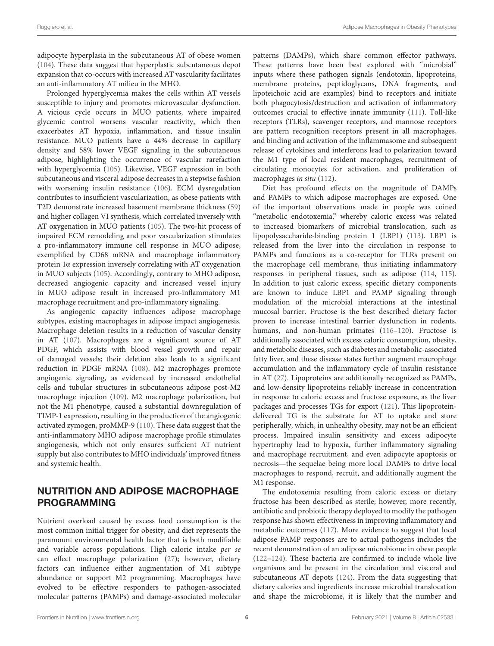adipocyte hyperplasia in the subcutaneous AT of obese women [\(104\)](#page-11-10). These data suggest that hyperplastic subcutaneous depot expansion that co-occurs with increased AT vascularity facilitates an anti-inflammatory AT milieu in the MHO.

Prolonged hyperglycemia makes the cells within AT vessels susceptible to injury and promotes microvascular dysfunction. A vicious cycle occurs in MUO patients, where impaired glycemic control worsens vascular reactivity, which then exacerbates AT hypoxia, inflammation, and tissue insulin resistance. MUO patients have a 44% decrease in capillary density and 58% lower VEGF signaling in the subcutaneous adipose, highlighting the occurrence of vascular rarefaction with hyperglycemia [\(105\)](#page-11-11). Likewise, VEGF expression in both subcutaneous and visceral adipose decreases in a stepwise fashion with worsening insulin resistance [\(106\)](#page-11-12). ECM dysregulation contributes to insufficient vascularization, as obese patients with T2D demonstrate increased basement membrane thickness [\(59\)](#page-10-6) and higher collagen VI synthesis, which correlated inversely with AT oxygenation in MUO patients [\(105\)](#page-11-11). The two-hit process of impaired ECM remodeling and poor vascularization stimulates a pro-inflammatory immune cell response in MUO adipose, exemplified by CD68 mRNA and macrophage inflammatory protein 1α expression inversely correlating with AT oxygenation in MUO subjects [\(105\)](#page-11-11). Accordingly, contrary to MHO adipose, decreased angiogenic capacity and increased vessel injury in MUO adipose result in increased pro-inflammatory M1 macrophage recruitment and pro-inflammatory signaling.

As angiogenic capacity influences adipose macrophage subtypes, existing macrophages in adipose impact angiogenesis. Macrophage deletion results in a reduction of vascular density in AT [\(107\)](#page-11-13). Macrophages are a significant source of AT PDGF, which assists with blood vessel growth and repair of damaged vessels; their deletion also leads to a significant reduction in PDGF mRNA [\(108\)](#page-11-14). M2 macrophages promote angiogenic signaling, as evidenced by increased endothelial cells and tubular structures in subcutaneous adipose post-M2 macrophage injection [\(109\)](#page-11-15). M2 macrophage polarization, but not the M1 phenotype, caused a substantial downregulation of TIMP-1 expression, resulting in the production of the angiogenic activated zymogen, proMMP-9 [\(110\)](#page-11-16). These data suggest that the anti-inflammatory MHO adipose macrophage profile stimulates angiogenesis, which not only ensures sufficient AT nutrient supply but also contributes to MHO individuals' improved fitness and systemic health.

# NUTRITION AND ADIPOSE MACROPHAGE PROGRAMMING

Nutrient overload caused by excess food consumption is the most common initial trigger for obesity, and diet represents the paramount environmental health factor that is both modifiable and variable across populations. High caloric intake per se can effect macrophage polarization [\(27\)](#page-9-12); however, dietary factors can influence either augmentation of M1 subtype abundance or support M2 programming. Macrophages have evolved to be effective responders to pathogen-associated molecular patterns (PAMPs) and damage-associated molecular patterns (DAMPs), which share common effector pathways. These patterns have been best explored with "microbial" inputs where these pathogen signals (endotoxin, lipoproteins, membrane proteins, peptidoglycans, DNA fragments, and lipoteichoic acid are examples) bind to receptors and initiate both phagocytosis/destruction and activation of inflammatory outcomes crucial to effective innate immunity [\(111\)](#page-11-17). Toll-like receptors (TLRs), scavenger receptors, and mannose receptors are pattern recognition receptors present in all macrophages, and binding and activation of the inflammasome and subsequent release of cytokines and interferons lead to polarization toward the M1 type of local resident macrophages, recruitment of circulating monocytes for activation, and proliferation of macrophages in situ [\(112\)](#page-11-18).

Diet has profound effects on the magnitude of DAMPs and PAMPs to which adipose macrophages are exposed. One of the important observations made in people was coined "metabolic endotoxemia," whereby caloric excess was related to increased biomarkers of microbial translocation, such as lipopolysaccharide-binding protein 1 (LBP1) [\(113\)](#page-11-19). LBP1 is released from the liver into the circulation in response to PAMPs and functions as a co-receptor for TLRs present on the macrophage cell membrane, thus initiating inflammatory responses in peripheral tissues, such as adipose [\(114,](#page-11-20) [115\)](#page-11-21). In addition to just caloric excess, specific dietary components are known to induce LBP1 and PAMP signaling through modulation of the microbial interactions at the intestinal mucosal barrier. Fructose is the best described dietary factor proven to increase intestinal barrier dysfunction in rodents, humans, and non-human primates [\(116](#page-11-22)[–120\)](#page-11-23). Fructose is additionally associated with excess caloric consumption, obesity, and metabolic diseases, such as diabetes and metabolic-associated fatty liver, and these disease states further augment macrophage accumulation and the inflammatory cycle of insulin resistance in AT [\(27\)](#page-9-12). Lipoproteins are additionally recognized as PAMPs, and low-density lipoproteins reliably increase in concentration in response to caloric excess and fructose exposure, as the liver packages and processes TGs for export [\(121\)](#page-11-24). This lipoproteindelivered TG is the substrate for AT to uptake and store peripherally, which, in unhealthy obesity, may not be an efficient process. Impaired insulin sensitivity and excess adipocyte hypertrophy lead to hypoxia, further inflammatory signaling and macrophage recruitment, and even adipocyte apoptosis or necrosis—the sequelae being more local DAMPs to drive local macrophages to respond, recruit, and additionally augment the M1 response.

The endotoxemia resulting from caloric excess or dietary fructose has been described as sterile; however, more recently, antibiotic and probiotic therapy deployed to modify the pathogen response has shown effectiveness in improving inflammatory and metabolic outcomes [\(117\)](#page-11-25). More evidence to suggest that local adipose PAMP responses are to actual pathogens includes the recent demonstration of an adipose microbiome in obese people [\(122–](#page-11-26)[124\)](#page-11-27). These bacteria are confirmed to include whole live organisms and be present in the circulation and visceral and subcutaneous AT depots [\(124\)](#page-11-27). From the data suggesting that dietary calories and ingredients increase microbial translocation and shape the microbiome, it is likely that the number and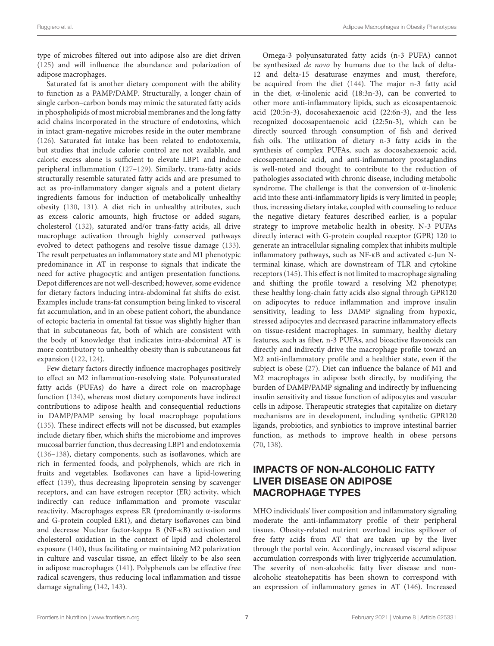type of microbes filtered out into adipose also are diet driven [\(125\)](#page-11-28) and will influence the abundance and polarization of adipose macrophages.

Saturated fat is another dietary component with the ability to function as a PAMP/DAMP. Structurally, a longer chain of single carbon–carbon bonds may mimic the saturated fatty acids in phospholipids of most microbial membranes and the long fatty acid chains incorporated in the structure of endotoxins, which in intact gram-negative microbes reside in the outer membrane [\(126\)](#page-11-29). Saturated fat intake has been related to endotoxemia, but studies that include calorie control are not available, and caloric excess alone is sufficient to elevate LBP1 and induce peripheral inflammation [\(127](#page-11-30)[–129\)](#page-12-0). Similarly, trans-fatty acids structurally resemble saturated fatty acids and are presumed to act as pro-inflammatory danger signals and a potent dietary ingredients famous for induction of metabolically unhealthy obesity [\(130,](#page-12-1) [131\)](#page-12-2). A diet rich in unhealthy attributes, such as excess caloric amounts, high fructose or added sugars, cholesterol [\(132\)](#page-12-3), saturated and/or trans-fatty acids, all drive macrophage activation through highly conserved pathways evolved to detect pathogens and resolve tissue damage [\(133\)](#page-12-4). The result perpetuates an inflammatory state and M1 phenotypic predominance in AT in response to signals that indicate the need for active phagocytic and antigen presentation functions. Depot differences are not well-described; however, some evidence for dietary factors inducing intra-abdominal fat shifts do exist. Examples include trans-fat consumption being linked to visceral fat accumulation, and in an obese patient cohort, the abundance of ectopic bacteria in omental fat tissue was slightly higher than that in subcutaneous fat, both of which are consistent with the body of knowledge that indicates intra-abdominal AT is more contributory to unhealthy obesity than is subcutaneous fat expansion [\(122,](#page-11-26) [124\)](#page-11-27).

Few dietary factors directly influence macrophages positively to effect an M2 inflammation-resolving state. Polyunsaturated fatty acids (PUFAs) do have a direct role on macrophage function [\(134\)](#page-12-5), whereas most dietary components have indirect contributions to adipose health and consequential reductions in DAMP/PAMP sensing by local macrophage populations [\(135\)](#page-12-6). These indirect effects will not be discussed, but examples include dietary fiber, which shifts the microbiome and improves mucosal barrier function, thus decreasing LBP1 and endotoxemia [\(136–](#page-12-7)[138\)](#page-12-8), dietary components, such as isoflavones, which are rich in fermented foods, and polyphenols, which are rich in fruits and vegetables. Isoflavones can have a lipid-lowering effect [\(139\)](#page-12-9), thus decreasing lipoprotein sensing by scavenger receptors, and can have estrogen receptor (ER) activity, which indirectly can reduce inflammation and promote vascular reactivity. Macrophages express ER (predominantly α-isoforms and G-protein coupled ER1), and dietary isoflavones can bind and decrease Nuclear factor-kappa B (NF-κB) activation and cholesterol oxidation in the context of lipid and cholesterol exposure [\(140\)](#page-12-10), thus facilitating or maintaining M2 polarization in culture and vascular tissue, an effect likely to be also seen in adipose macrophages [\(141\)](#page-12-11). Polyphenols can be effective free radical scavengers, thus reducing local inflammation and tissue damage signaling [\(142,](#page-12-12) [143\)](#page-12-13).

Omega-3 polyunsaturated fatty acids (n-3 PUFA) cannot be synthesized de novo by humans due to the lack of delta-12 and delta-15 desaturase enzymes and must, therefore, be acquired from the diet [\(144\)](#page-12-14). The major n-3 fatty acid in the diet, α-linolenic acid (18:3n-3), can be converted to other more anti-inflammatory lipids, such as eicosapentaenoic acid (20:5n-3), docosahexaenoic acid (22:6n-3), and the less recognized docosapentaenoic acid (22:5n-3), which can be directly sourced through consumption of fish and derived fish oils. The utilization of dietary n-3 fatty acids in the synthesis of complex PUFAs, such as docosahexaenoic acid, eicosapentaenoic acid, and anti-inflammatory prostaglandins is well-noted and thought to contribute to the reduction of pathologies associated with chronic disease, including metabolic syndrome. The challenge is that the conversion of α-linolenic acid into these anti-inflammatory lipids is very limited in people; thus, increasing dietary intake, coupled with counseling to reduce the negative dietary features described earlier, is a popular strategy to improve metabolic health in obesity. N-3 PUFAs directly interact with G-protein coupled receptor (GPR) 120 to generate an intracellular signaling complex that inhibits multiple inflammatory pathways, such as NF-κB and activated c-Jun Nterminal kinase, which are downstream of TLR and cytokine receptors [\(145\)](#page-12-15). This effect is not limited to macrophage signaling and shifting the profile toward a resolving M2 phenotype; these healthy long-chain fatty acids also signal through GPR120 on adipocytes to reduce inflammation and improve insulin sensitivity, leading to less DAMP signaling from hypoxic, stressed adipocytes and decreased paracrine inflammatory effects on tissue-resident macrophages. In summary, healthy dietary features, such as fiber, n-3 PUFAs, and bioactive flavonoids can directly and indirectly drive the macrophage profile toward an M2 anti-inflammatory profile and a healthier state, even if the subject is obese [\(27\)](#page-9-12). Diet can influence the balance of M1 and M2 macrophages in adipose both directly, by modifying the burden of DAMP/PAMP signaling and indirectly by influencing insulin sensitivity and tissue function of adipocytes and vascular cells in adipose. Therapeutic strategies that capitalize on dietary mechanisms are in development, including synthetic GPR120 ligands, probiotics, and synbiotics to improve intestinal barrier function, as methods to improve health in obese persons [\(70,](#page-10-16) [138\)](#page-12-8).

# IMPACTS OF NON-ALCOHOLIC FATTY LIVER DISEASE ON ADIPOSE MACROPHAGE TYPES

MHO individuals' liver composition and inflammatory signaling moderate the anti-inflammatory profile of their peripheral tissues. Obesity-related nutrient overload incites spillover of free fatty acids from AT that are taken up by the liver through the portal vein. Accordingly, increased visceral adipose accumulation corresponds with liver triglyceride accumulation. The severity of non-alcoholic fatty liver disease and nonalcoholic steatohepatitis has been shown to correspond with an expression of inflammatory genes in AT [\(146\)](#page-12-16). Increased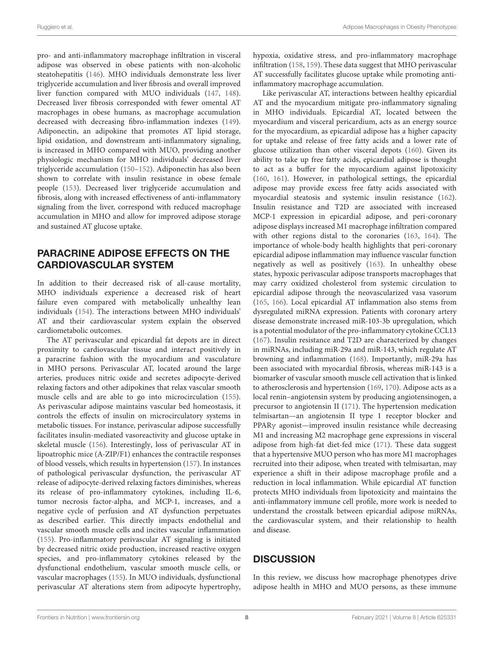pro- and anti-inflammatory macrophage infiltration in visceral adipose was observed in obese patients with non-alcoholic steatohepatitis [\(146\)](#page-12-16). MHO individuals demonstrate less liver triglyceride accumulation and liver fibrosis and overall improved liver function compared with MUO individuals [\(147,](#page-12-17) [148\)](#page-12-18). Decreased liver fibrosis corresponded with fewer omental AT macrophages in obese humans, as macrophage accumulation decreased with decreasing fibro-inflammation indexes [\(149\)](#page-12-19). Adiponectin, an adipokine that promotes AT lipid storage, lipid oxidation, and downstream anti-inflammatory signaling, is increased in MHO compared with MUO, providing another physiologic mechanism for MHO individuals' decreased liver triglyceride accumulation [\(150](#page-12-20)[–152\)](#page-12-21). Adiponectin has also been shown to correlate with insulin resistance in obese female people [\(153\)](#page-12-22). Decreased liver triglyceride accumulation and fibrosis, along with increased effectiveness of anti-inflammatory signaling from the liver, correspond with reduced macrophage accumulation in MHO and allow for improved adipose storage and sustained AT glucose uptake.

# PARACRINE ADIPOSE EFFECTS ON THE CARDIOVASCULAR SYSTEM

In addition to their decreased risk of all-cause mortality, MHO individuals experience a decreased risk of heart failure even compared with metabolically unhealthy lean individuals [\(154\)](#page-12-23). The interactions between MHO individuals' AT and their cardiovascular system explain the observed cardiometabolic outcomes.

The AT perivascular and epicardial fat depots are in direct proximity to cardiovascular tissue and interact positively in a paracrine fashion with the myocardium and vasculature in MHO persons. Perivascular AT, located around the large arteries, produces nitric oxide and secretes adipocyte-derived relaxing factors and other adipokines that relax vascular smooth muscle cells and are able to go into microcirculation [\(155\)](#page-12-24). As perivascular adipose maintains vascular bed homeostasis, it controls the effects of insulin on microcirculatory systems in metabolic tissues. For instance, perivascular adipose successfully facilitates insulin-mediated vasoreactivity and glucose uptake in skeletal muscle [\(156\)](#page-12-25). Interestingly, loss of perivascular AT in lipoatrophic mice (A-ZIP/F1) enhances the contractile responses of blood vessels, which results in hypertension [\(157\)](#page-12-26). In instances of pathological perivascular dysfunction, the perivascular AT release of adipocyte-derived relaxing factors diminishes, whereas its release of pro-inflammatory cytokines, including IL-6, tumor necrosis factor-alpha, and MCP-1, increases, and a negative cycle of perfusion and AT dysfunction perpetuates as described earlier. This directly impacts endothelial and vascular smooth muscle cells and incites vascular inflammation [\(155\)](#page-12-24). Pro-inflammatory perivascular AT signaling is initiated by decreased nitric oxide production, increased reactive oxygen species, and pro-inflammatory cytokines released by the dysfunctional endothelium, vascular smooth muscle cells, or vascular macrophages [\(155\)](#page-12-24). In MUO individuals, dysfunctional perivascular AT alterations stem from adipocyte hypertrophy, hypoxia, oxidative stress, and pro-inflammatory macrophage infiltration [\(158,](#page-12-27) [159\)](#page-12-28). These data suggest that MHO perivascular AT successfully facilitates glucose uptake while promoting antiinflammatory macrophage accumulation.

Like perivascular AT, interactions between healthy epicardial AT and the myocardium mitigate pro-inflammatory signaling in MHO individuals. Epicardial AT, located between the myocardium and visceral pericardium, acts as an energy source for the myocardium, as epicardial adipose has a higher capacity for uptake and release of free fatty acids and a lower rate of glucose utilization than other visceral depots [\(160\)](#page-12-29). Given its ability to take up free fatty acids, epicardial adipose is thought to act as a buffer for the myocardium against lipotoxicity [\(160,](#page-12-29) [161\)](#page-12-30). However, in pathological settings, the epicardial adipose may provide excess free fatty acids associated with myocardial steatosis and systemic insulin resistance [\(162\)](#page-12-31). Insulin resistance and T2D are associated with increased MCP-1 expression in epicardial adipose, and peri-coronary adipose displays increased M1 macrophage infiltration compared with other regions distal to the coronaries [\(163,](#page-12-32) [164\)](#page-12-33). The importance of whole-body health highlights that peri-coronary epicardial adipose inflammation may influence vascular function negatively as well as positively [\(163\)](#page-12-32). In unhealthy obese states, hypoxic perivascular adipose transports macrophages that may carry oxidized cholesterol from systemic circulation to epicardial adipose through the neovascularized vasa vasorum [\(165,](#page-12-34) [166\)](#page-13-0). Local epicardial AT inflammation also stems from dysregulated miRNA expression. Patients with coronary artery disease demonstrate increased miR-103-3b upregulation, which is a potential modulator of the pro-inflammatory cytokine CCL13 [\(167\)](#page-13-1). Insulin resistance and T2D are characterized by changes in miRNAs, including miR-29a and miR-143, which regulate AT browning and inflammation [\(168\)](#page-13-2). Importantly, miR-29a has been associated with myocardial fibrosis, whereas miR-143 is a biomarker of vascular smooth muscle cell activation that is linked to atherosclerosis and hypertension [\(169,](#page-13-3) [170\)](#page-13-4). Adipose acts as a local renin–angiotensin system by producing angiotensinogen, a precursor to angiotensin II [\(171\)](#page-13-5). The hypertension medication telmisartan—an angiotensin II type 1 receptor blocker and PPARγ agonist—improved insulin resistance while decreasing M1 and increasing M2 macrophage gene expressions in visceral adipose from high-fat diet-fed mice [\(171\)](#page-13-5). These data suggest that a hypertensive MUO person who has more M1 macrophages recruited into their adipose, when treated with telmisartan, may experience a shift in their adipose macrophage profile and a reduction in local inflammation. While epicardial AT function protects MHO individuals from lipotoxicity and maintains the anti-inflammatory immune cell profile, more work is needed to understand the crosstalk between epicardial adipose miRNAs, the cardiovascular system, and their relationship to health and disease.

## **DISCUSSION**

In this review, we discuss how macrophage phenotypes drive adipose health in MHO and MUO persons, as these immune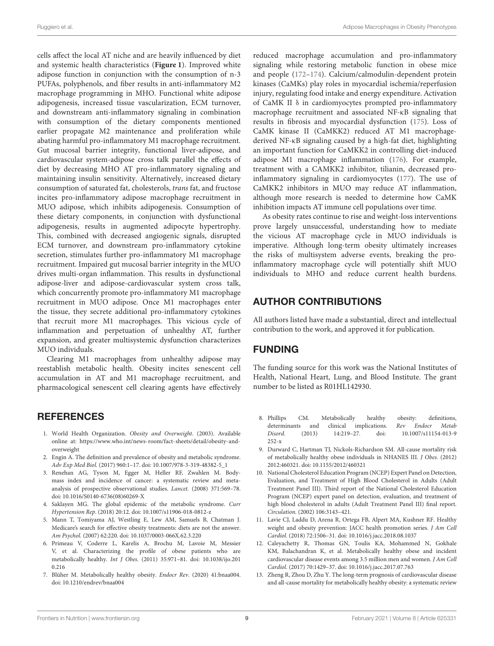cells affect the local AT niche and are heavily influenced by diet and systemic health characteristics (**[Figure 1](#page-2-0)**). Improved white adipose function in conjunction with the consumption of n-3 PUFAs, polyphenols, and fiber results in anti-inflammatory M2 macrophage programming in MHO. Functional white adipose adipogenesis, increased tissue vascularization, ECM turnover, and downstream anti-inflammatory signaling in combination with consumption of the dietary components mentioned earlier propagate M2 maintenance and proliferation while abating harmful pro-inflammatory M1 macrophage recruitment. Gut mucosal barrier integrity, functional liver-adipose, and cardiovascular system-adipose cross talk parallel the effects of diet by decreasing MHO AT pro-inflammatory signaling and maintaining insulin sensitivity. Alternatively, increased dietary consumption of saturated fat, cholesterols, trans fat, and fructose incites pro-inflammatory adipose macrophage recruitment in MUO adipose, which inhibits adipogenesis. Consumption of these dietary components, in conjunction with dysfunctional adipogenesis, results in augmented adipocyte hypertrophy. This, combined with decreased angiogenic signals, disrupted ECM turnover, and downstream pro-inflammatory cytokine secretion, stimulates further pro-inflammatory M1 macrophage recruitment. Impaired gut mucosal barrier integrity in the MUO drives multi-organ inflammation. This results in dysfunctional adipose-liver and adipose-cardiovascular system cross talk, which concurrently promote pro-inflammatory M1 macrophage recruitment in MUO adipose. Once M1 macrophages enter the tissue, they secrete additional pro-inflammatory cytokines that recruit more M1 macrophages. This vicious cycle of inflammation and perpetuation of unhealthy AT, further expansion, and greater multisystemic dysfunction characterizes MUO individuals.

Clearing M1 macrophages from unhealthy adipose may reestablish metabolic health. Obesity incites senescent cell accumulation in AT and M1 macrophage recruitment, and pharmacological senescent cell clearing agents have effectively

## **REFERENCES**

- <span id="page-8-0"></span>1. World Health Organization. Obesity and Overweight. (2003). Available online at: [https://www.who.int/news-room/fact-sheets/detail/obesity-and](https://www.who.int/news-room/fact-sheets/detail/obesity-and-overweight)[overweight](https://www.who.int/news-room/fact-sheets/detail/obesity-and-overweight)
- <span id="page-8-1"></span>2. Engin A. The definition and prevalence of obesity and metabolic syndrome. Adv Exp Med Biol. (2017) 960:1–17. doi: [10.1007/978-3-319-48382-5\\_1](https://doi.org/10.1007/978-3-319-48382-5_1)
- 3. Renehan AG, Tyson M, Egger M, Heller RF, Zwahlen M. Bodymass index and incidence of cancer: a systematic review and metaanalysis of prospective observational studies. Lancet. (2008) 371:569–78. doi: [10.1016/S0140-6736\(08\)60269-X](https://doi.org/10.1016/S0140-6736(08)60269-X)
- <span id="page-8-2"></span>4. Saklayen MG. The global epidemic of the metabolic syndrome. Curr Hypertension Rep. (2018) 20:12. doi: [10.1007/s11906-018-0812-z](https://doi.org/10.1007/s11906-018-0812-z)
- <span id="page-8-3"></span>5. Mann T, Tomiyama AJ, Westling E, Lew AM, Samuels B, Chatman J. Medicare's search for effective obesity treatments: diets are not the answer. Am Psychol. (2007) 62:220. doi: [10.1037/0003-066X.62.3.220](https://doi.org/10.1037/0003-066X.62.3.220)
- <span id="page-8-4"></span>6. Primeau V, Coderre L, Karelis A, Brochu M, Lavoie M, Messier V, et al. Characterizing the profile of obese patients who are metabolically healthy. Int J Obes. [\(2011\) 35:971–81. doi: 10.1038/ijo.201](https://doi.org/10.1038/ijo.2010.216) 0.216
- <span id="page-8-5"></span>7. Blüher M. Metabolically healthy obesity. Endocr Rev. (2020) 41:bnaa004. doi: [10.1210/endrev/bnaa004](https://doi.org/10.1210/endrev/bnaa004)

reduced macrophage accumulation and pro-inflammatory signaling while restoring metabolic function in obese mice and people [\(172–](#page-13-6)[174\)](#page-13-7). Calcium/calmodulin-dependent protein kinases (CaMKs) play roles in myocardial ischemia/reperfusion injury, regulating food intake and energy expenditure. Activation of CaMK II δ in cardiomyocytes prompted pro-inflammatory macrophage recruitment and associated NF-κB signaling that results in fibrosis and myocardial dysfunction [\(175\)](#page-13-8). Loss of CaMK kinase II (CaMKK2) reduced AT M1 macrophagederived NF-κB signaling caused by a high-fat diet, highlighting an important function for CaMKK2 in controlling diet-induced adipose M1 macrophage inflammation [\(176\)](#page-13-9). For example, treatment with a CAMKK2 inhibitor, tilianin, decreased proinflammatory signaling in cardiomyocytes [\(177\)](#page-13-10). The use of CaMKK2 inhibitors in MUO may reduce AT inflammation, although more research is needed to determine how CaMK inhibition impacts AT immune cell populations over time.

As obesity rates continue to rise and weight-loss interventions prove largely unsuccessful, understanding how to mediate the vicious AT macrophage cycle in MUO individuals is imperative. Although long-term obesity ultimately increases the risks of multisystem adverse events, breaking the proinflammatory macrophage cycle will potentially shift MUO individuals to MHO and reduce current health burdens.

## AUTHOR CONTRIBUTIONS

All authors listed have made a substantial, direct and intellectual contribution to the work, and approved it for publication.

## FUNDING

The funding source for this work was the National Institutes of Health, National Heart, Lung, and Blood Institute. The grant number to be listed as R01HL142930.

- <span id="page-8-6"></span>8. Phillips CM. Metabolically healthy obesity: definitions, determinants and clinical implications. Rev Endocr Metab<br>Disord. (2013) 14:219-27. doi: 10.1007/s11154-013-9 Disord. [\(2013\) 14:219–27. doi: 10.1007/s11154-013-9](https://doi.org/10.1007/s11154-013-9252-x) 252-x
- <span id="page-8-7"></span>9. Durward C, Hartman TJ, Nickols-Richardson SM. All-cause mortality risk of metabolically healthy obese individuals in NHANES III. J Obes. (2012) 2012:460321. doi: [10.1155/2012/460321](https://doi.org/10.1155/2012/460321)
- <span id="page-8-8"></span>10. National Cholesterol Education Program (NCEP) Expert Panel on Detection, Evaluation, and Treatment of High Blood Cholesterol in Adults (Adult Treatment Panel III). Third report of the National Cholesterol Education Program (NCEP) expert panel on detection, evaluation, and treatment of high blood cholesterol in adults (Adult Treatment Panel III) final report. Circulation. (2002) 106:3143–421.
- <span id="page-8-9"></span>11. Lavie CJ, Laddu D, Arena R, Ortega FB, Alpert MA, Kushner RF. Healthy weight and obesity prevention: JACC health promotion series. J Am Coll Cardiol. (2018) 72:1506–31. doi: [10.1016/j.jacc.2018.08.1037](https://doi.org/10.1016/j.jacc.2018.08.1037)
- <span id="page-8-10"></span>12. Caleyachetty R, Thomas GN, Toulis KA, Mohammed N, Gokhale KM, Balachandran K, et al. Metabolically healthy obese and incident cardiovascular disease events among 3.5 million men and women. J Am Coll Cardiol. (2017) 70:1429–37. doi: [10.1016/j.jacc.2017.07.763](https://doi.org/10.1016/j.jacc.2017.07.763)
- <span id="page-8-11"></span>13. Zheng R, Zhou D, Zhu Y. The long-term prognosis of cardiovascular disease and all-cause mortality for metabolically healthy obesity: a systematic review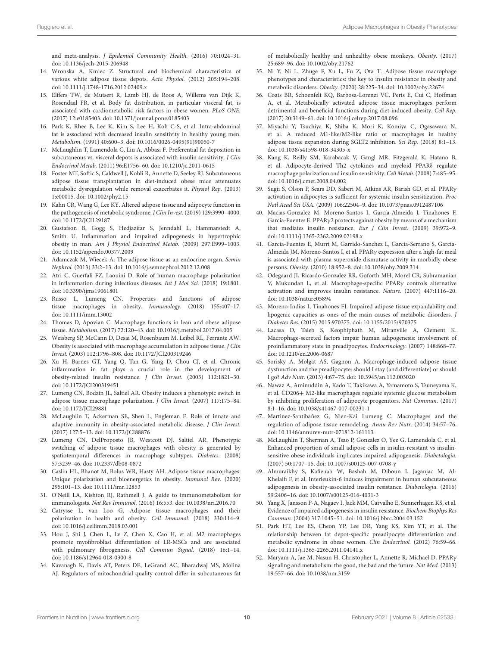and meta-analysis. J Epidemiol Community Health. (2016) 70:1024–31. doi: [10.1136/jech-2015-206948](https://doi.org/10.1136/jech-2015-206948)

- <span id="page-9-0"></span>14. Wronska A, Kmiec Z. Structural and biochemical characteristics of various white adipose tissue depots. Acta Physiol. (2012) 205:194–208. doi: [10.1111/j.1748-1716.2012.02409.x](https://doi.org/10.1111/j.1748-1716.2012.02409.x)
- <span id="page-9-1"></span>15. Elffers TW, de Mutsert R, Lamb HJ, de Roos A, Willems van Dijk K, Rosendaal FR, et al. Body fat distribution, in particular visceral fat, is associated with cardiometabolic risk factors in obese women. PLoS ONE. (2017) 12:e0185403. doi: [10.1371/journal.pone.0185403](https://doi.org/10.1371/journal.pone.0185403)
- <span id="page-9-2"></span>16. Park K, Rhee B, Lee K, Kim S, Lee H, Koh C-S, et al. Intra-abdominal fat is associated with decreased insulin sensitivity in healthy young men. Metabolism. (1991) 40:600–3. doi: [10.1016/0026-0495\(91\)90050-7](https://doi.org/10.1016/0026-0495(91)90050-7)
- <span id="page-9-3"></span>17. McLaughlin T, Lamendola C, Liu A, Abbasi F. Preferential fat deposition in subcutaneous vs. visceral depots is associated with insulin sensitivity. J Clin Endocrinol Metab. (2011) 96:E1756–60. doi: [10.1210/jc.2011-0615](https://doi.org/10.1210/jc.2011-0615)
- <span id="page-9-4"></span>18. Foster MT, Softic S, Caldwell J, Kohli R, Annette D, Seeley RJ. Subcutaneous adipose tissue transplantation in diet-induced obese mice attenuates metabolic dysregulation while removal exacerbates it. Physiol Rep. (2013) 1:e00015. doi: [10.1002/phy2.15](https://doi.org/10.1002/phy2.15)
- <span id="page-9-5"></span>19. Kahn CR, Wang G, Lee KY. Altered adipose tissue and adipocyte function in the pathogenesis of metabolic syndrome. J Clin Invest. (2019) 129:3990–4000. doi: [10.1172/JCI129187](https://doi.org/10.1172/JCI129187)
- 20. Gustafson B, Gogg S, Hedjazifar S, Jenndahl L, Hammarstedt A, Smith U. Inflammation and impaired adipogenesis in hypertrophic obesity in man. Am J Physiol Endocrinol Metab. (2009) 297:E999–1003. doi: [10.1152/ajpendo.00377.2009](https://doi.org/10.1152/ajpendo.00377.2009)
- <span id="page-9-6"></span>21. Adamczak M, Wiecek A. The adipose tissue as an endocrine organ. Semin Nephrol. (2013) 33:2–13. doi: [10.1016/j.semnephrol.2012.12.008](https://doi.org/10.1016/j.semnephrol.2012.12.008)
- <span id="page-9-7"></span>22. Atri C, Guerfali FZ, Laouini D. Role of human macrophage polarization in inflammation during infectious diseases. Int J Mol Sci. (2018) 19:1801. doi: [10.3390/ijms19061801](https://doi.org/10.3390/ijms19061801)
- <span id="page-9-8"></span>23. Russo L, Lumeng CN. Properties and functions of adipose tissue macrophages in obesity. Immunology. (2018) 155:407–17. doi: [10.1111/imm.13002](https://doi.org/10.1111/imm.13002)
- <span id="page-9-9"></span>24. Thomas D, Apovian C. Macrophage functions in lean and obese adipose tissue. Metabolism. (2017) 72:120–43. doi: [10.1016/j.metabol.2017.04.005](https://doi.org/10.1016/j.metabol.2017.04.005)
- <span id="page-9-10"></span>25. Weisberg SP, McCann D, Desai M, Rosenbaum M, Leibel RL, Ferrante AW. Obesity is associated with macrophage accumulation in adipose tissue. J Clin Invest. (2003) 112:1796–808. doi: [10.1172/JCI200319246](https://doi.org/10.1172/JCI200319246)
- <span id="page-9-11"></span>26. Xu H, Barnes GT, Yang Q, Tan G, Yang D, Chou CJ, et al. Chronic inflammation in fat plays a crucial role in the development of obesity-related insulin resistance. J Clin Invest. (2003) 112:1821–30. doi: [10.1172/JCI200319451](https://doi.org/10.1172/JCI200319451)
- <span id="page-9-12"></span>27. Lumeng CN, Bodzin JL, Saltiel AR. Obesity induces a phenotypic switch in adipose tissue macrophage polarization. J Clin Invest. (2007) 117:175–84. doi: [10.1172/JCI29881](https://doi.org/10.1172/JCI29881)
- <span id="page-9-13"></span>28. McLaughlin T, Ackerman SE, Shen L, Engleman E. Role of innate and adaptive immunity in obesity-associated metabolic disease. J Clin Invest. (2017) 127:5–13. doi: [10.1172/JCI88876](https://doi.org/10.1172/JCI88876)
- <span id="page-9-14"></span>29. Lumeng CN, DelProposto JB, Westcott DJ, Saltiel AR. Phenotypic switching of adipose tissue macrophages with obesity is generated by spatiotemporal differences in macrophage subtypes. Diabetes. (2008) 57:3239–46. doi: [10.2337/db08-0872](https://doi.org/10.2337/db08-0872)
- <span id="page-9-19"></span>30. Caslin HL, Bhanot M, Bolus WR, Hasty AH. Adipose tissue macrophages: Unique polarization and bioenergetics in obesity. Immunol Rev. (2020) 295:101–13. doi: [10.1111/imr.12853](https://doi.org/10.1111/imr.12853)
- <span id="page-9-15"></span>31. O'Neill LA, Kishton RJ, Rathmell J. A guide to immunometabolism for immunologists. Nat Rev Immunol. (2016) 16:553. doi: [10.1038/nri.2016.70](https://doi.org/10.1038/nri.2016.70)
- <span id="page-9-16"></span>32. Catrysse L, van Loo G. Adipose tissue macrophages and their polarization in health and obesity. Cell Immunol. (2018) 330:114–9. doi: [10.1016/j.cellimm.2018.03.001](https://doi.org/10.1016/j.cellimm.2018.03.001)
- <span id="page-9-17"></span>33. Hou J, Shi J, Chen L, Lv Z, Chen X, Cao H, et al. M2 macrophages promote myofibroblast differentiation of LR-MSCs and are associated with pulmonary fibrogenesis. Cell Commun Signal. (2018) 16:1–14. doi: [10.1186/s12964-018-0300-8](https://doi.org/10.1186/s12964-018-0300-8)
- <span id="page-9-18"></span>34. Kavanagh K, Davis AT, Peters DE, LeGrand AC, Bharadwaj MS, Molina AJ. Regulators of mitochondrial quality control differ in subcutaneous fat

of metabolically healthy and unhealthy obese monkeys. Obesity. (2017) 25:689–96. doi: [10.1002/oby.21762](https://doi.org/10.1002/oby.21762)

- <span id="page-9-20"></span>35. Ni Y, Ni L, Zhuge F, Xu L, Fu Z, Ota T. Adipose tissue macrophage phenotypes and characteristics: the key to insulin resistance in obesity and metabolic disorders. Obesity. (2020) 28:225–34. doi: [10.1002/oby.22674](https://doi.org/10.1002/oby.22674)
- <span id="page-9-21"></span>36. Coats BR, Schoenfelt KQ, Barbosa-Lorenzi VC, Peris E, Cui C, Hoffman A, et al. Metabolically activated adipose tissue macrophages perform detrimental and beneficial functions during diet-induced obesity. Cell Rep. (2017) 20:3149–61. doi: [10.1016/j.celrep.2017.08.096](https://doi.org/10.1016/j.celrep.2017.08.096)
- <span id="page-9-22"></span>37. Miyachi Y, Tsuchiya K, Shiba K, Mori K, Komiya C, Ogasawara N, et al. A reduced M1-like/M2-like ratio of macrophages in healthy adipose tissue expansion during SGLT2 inhibition. Sci Rep. (2018) 8:1–13. doi: [10.1038/s41598-018-34305-x](https://doi.org/10.1038/s41598-018-34305-x)
- <span id="page-9-23"></span>38. Kang K, Reilly SM, Karabacak V, Gangl MR, Fitzgerald K, Hatano B, et al. Adipocyte-derived Th2 cytokines and myeloid PPARδ regulate macrophage polarization and insulin sensitivity. Cell Metab. (2008) 7:485–95. doi: [10.1016/j.cmet.2008.04.002](https://doi.org/10.1016/j.cmet.2008.04.002)
- <span id="page-9-24"></span>39. Sugii S, Olson P, Sears DD, Saberi M, Atkins AR, Barish GD, et al. PPARγ activation in adipocytes is sufficient for systemic insulin sensitization. Proc Natl Acad Sci USA. (2009) 106:22504–9. doi: [10.1073/pnas.0912487106](https://doi.org/10.1073/pnas.0912487106)
- <span id="page-9-25"></span>40. Macias-Gonzalez M, Moreno-Santos I, García-Almeida J, Tinahones F, Garcia-Fuentes E. PPARγ2 protects against obesity by means of a mechanism that mediates insulin resistance. Eur J Clin Invest. (2009) 39:972–9. doi: [10.1111/j.1365-2362.2009.02198.x](https://doi.org/10.1111/j.1365-2362.2009.02198.x)
- <span id="page-9-26"></span>41. Garcia-Fuentes E, Murri M, Garrido-Sanchez L, Garcia-Serrano S, García-Almeida JM, Moreno-Santos I, et al. PPARγ expression after a high-fat meal is associated with plasma superoxide dismutase activity in morbidly obese persons. Obesity. (2010) 18:952–8. doi: [10.1038/oby.2009.314](https://doi.org/10.1038/oby.2009.314)
- <span id="page-9-27"></span>42. Odegaard JI, Ricardo-Gonzalez RR, Goforth MH, Morel CR, Subramanian V, Mukundan L, et al. Macrophage-specific PPARγ controls alternative activation and improves insulin resistance. Nature. (2007) 447:1116–20. doi: [10.1038/nature05894](https://doi.org/10.1038/nature05894)
- <span id="page-9-28"></span>43. Moreno-Indias I, Tinahones FJ. Impaired adipose tissue expandability and lipogenic capacities as ones of the main causes of metabolic disorders. J Diabetes Res. (2015) 2015:970375. doi: [10.1155/2015/970375](https://doi.org/10.1155/2015/970375)
- <span id="page-9-29"></span>44. Lacasa D, Taleb S, Keophiphath M, Miranville A, Clement K. Macrophage-secreted factors impair human adipogenesis: involvement of proinflammatory state in preadipocytes. Endocrinology. (2007) 148:868–77. doi: [10.1210/en.2006-0687](https://doi.org/10.1210/en.2006-0687)
- <span id="page-9-30"></span>45. Sorisky A, Molgat AS, Gagnon A. Macrophage-induced adipose tissue dysfunction and the preadipocyte: should I stay (and differentiate) or should I go? Adv Nutr. (2013) 4:67–75. doi: [10.3945/an.112.003020](https://doi.org/10.3945/an.112.003020)
- <span id="page-9-31"></span>46. Nawaz A, Aminuddin A, Kado T, Takikawa A, Yamamoto S, Tsuneyama K, et al. CD206+ M2-like macrophages regulate systemic glucose metabolism by inhibiting proliferation of adipocyte progenitors. Nat Commun. (2017) 8:1–16. doi: [10.1038/s41467-017-00231-1](https://doi.org/10.1038/s41467-017-00231-1)
- <span id="page-9-32"></span>47. Martinez-Santibañez G, Nien-Kai Lumeng C. Macrophages and the regulation of adipose tissue remodeling. Annu Rev Nutr. (2014) 34:57–76. doi: [10.1146/annurev-nutr-071812-161113](https://doi.org/10.1146/annurev-nutr-071812-161113)
- <span id="page-9-33"></span>48. McLaughlin T, Sherman A, Tsao P, Gonzalez O, Yee G, Lamendola C, et al. Enhanced proportion of small adipose cells in insulin-resistant vs insulinsensitive obese individuals implicates impaired adipogenesis. Diabetologia. (2007) 50:1707–15. doi: [10.1007/s00125-007-0708-y](https://doi.org/10.1007/s00125-007-0708-y)
- 49. Almuraikhy S, Kafienah W, Bashah M, Diboun I, Jaganjac M, Al-Khelaifi F, et al. Interleukin-6 induces impairment in human subcutaneous adipogenesis in obesity-associated insulin resistance. Diabetologia. (2016) 59:2406–16. doi: [10.1007/s00125-016-4031-3](https://doi.org/10.1007/s00125-016-4031-3)
- 50. Yang X, Jansson P-A, Nagaev I, Jack MM, Carvalho E, Sunnerhagen KS, et al. Evidence of impaired adipogenesis in insulin resistance. Biochem Biophys Res Commun. (2004) 317:1045–51. doi: [10.1016/j.bbrc.2004.03.152](https://doi.org/10.1016/j.bbrc.2004.03.152)
- <span id="page-9-34"></span>51. Park HT, Lee ES, Cheon YP, Lee DR, Yang KS, Kim YT, et al. The relationship between fat depot-specific preadipocyte differentiation and metabolic syndrome in obese women. Clin Endocrinol. (2012) 76:59–66. doi: [10.1111/j.1365-2265.2011.04141.x](https://doi.org/10.1111/j.1365-2265.2011.04141.x)
- <span id="page-9-35"></span>52. Maryam A, Jae M, Nasun H, Christopher L, Annette R, Michael D. PPARγ signaling and metabolism: the good, the bad and the future. Nat Med. (2013) 19:557–66. doi: [10.1038/nm.3159](https://doi.org/10.1038/nm.3159)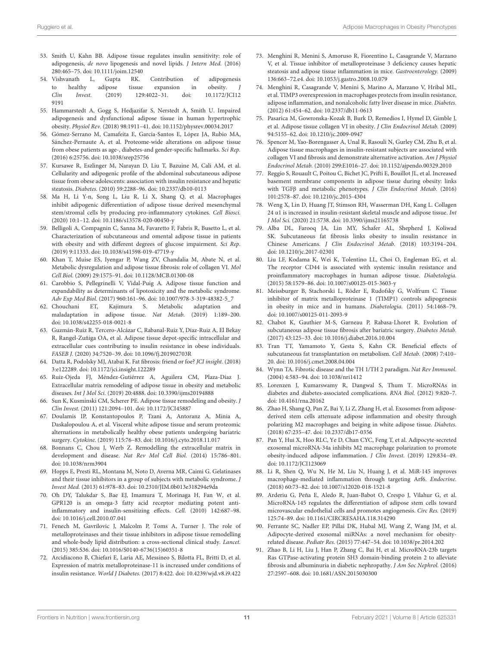- <span id="page-10-0"></span>53. Smith U, Kahn BB. Adipose tissue regulates insulin sensitivity: role of adipogenesis, de novo lipogenesis and novel lipids. J Intern Med. (2016) 280:465–75. doi: [10.1111/joim.12540](https://doi.org/10.1111/joim.12540)
- <span id="page-10-1"></span>54. Vishvanath L, Gupta RK. Contribution of adipogenesis to healthy adipose tissue expansion in obesity. Clin Invest. [\(2019\) 129:4022–31. doi: 10.1172/JCI12](https://doi.org/10.1172/JCI129191) 9191
- <span id="page-10-2"></span>55. Hammarstedt A, Gogg S, Hedjazifar S, Nerstedt A, Smith U. Impaired adipogenesis and dysfunctional adipose tissue in human hypertrophic obesity. Physiol Rev. (2018) 98:1911–41. doi: [10.1152/physrev.00034.2017](https://doi.org/10.1152/physrev.00034.2017)
- <span id="page-10-3"></span>56. Gómez-Serrano M, Camafeita E, García-Santos E, López JA, Rubio MA, Sánchez-Pernaute A, et al. Proteome-wide alterations on adipose tissue from obese patients as age-, diabetes-and gender-specific hallmarks. Sci Rep. (2016) 6:25756. doi: [10.1038/srep25756](https://doi.org/10.1038/srep25756)
- <span id="page-10-4"></span>57. Kursawe R, Eszlinger M, Narayan D, Liu T, Bazuine M, Cali AM, et al. Cellularity and adipogenic profile of the abdominal subcutaneous adipose tissue from obese adolescents: association with insulin resistance and hepatic steatosis. Diabetes. (2010) 59:2288–96. doi: [10.2337/db10-0113](https://doi.org/10.2337/db10-0113)
- <span id="page-10-5"></span>58. Ma H, Li Y-n, Song L, Liu R, Li X, Shang Q, et al. Macrophages inhibit adipogenic differentiation of adipose tissue derived mesenchymal stem/stromal cells by producing pro-inflammatory cytokines. Cell Biosci. (2020) 10:1–12. doi: [10.1186/s13578-020-00450-y](https://doi.org/10.1186/s13578-020-00450-y)
- <span id="page-10-6"></span>59. Belligoli A, Compagnin C, Sanna M, Favaretto F, Fabris R, Busetto L, et al. Characterization of subcutaneous and omental adipose tissue in patients with obesity and with different degrees of glucose impairment. Sci Rep. (2019) 9:11333. doi: [10.1038/s41598-019-47719-y](https://doi.org/10.1038/s41598-019-47719-y)
- <span id="page-10-7"></span>60. Khan T, Muise ES, Iyengar P, Wang ZV, Chandalia M, Abate N, et al. Metabolic dysregulation and adipose tissue fibrosis: role of collagen VI. Mol Cell Biol. (2009) 29:1575–91. doi: [10.1128/MCB.01300-08](https://doi.org/10.1128/MCB.01300-08)
- <span id="page-10-8"></span>61. Carobbio S, Pellegrinelli V, Vidal-Puig A. Adipose tissue function and expandability as determinants of lipotoxicity and the metabolic syndrome. Adv Exp Med Biol. (2017) 960:161–96. doi: [10.1007/978-3-319-48382-5\\_7](https://doi.org/10.1007/978-3-319-48382-5_7)
- 62. Chouchani ET, Kajimura S. Metabolic adaptation and maladaptation in adipose tissue. Nat Metab. (2019) 1:189–200. doi: [10.1038/s42255-018-0021-8](https://doi.org/10.1038/s42255-018-0021-8)
- <span id="page-10-9"></span>63. Guzmán-Ruiz R, Tercero-Alcázar C, Rabanal-Ruiz Y, Díaz-Ruiz A, El Bekay R, Rangel-Zuñiga OA, et al. Adipose tissue depot-specific intracellular and extracellular cues contributing to insulin resistance in obese individuals. FASEB J. (2020) 34:7520–39. doi: [10.1096/fj.201902703R](https://doi.org/10.1096/fj.201902703R)
- <span id="page-10-10"></span>64. Datta R, Podolsky MJ, Atabai K. Fat fibrosis: friend or foe? JCI insight. (2018) 3:e122289. doi: [10.1172/jci.insight.122289](https://doi.org/10.1172/jci.insight.122289)
- <span id="page-10-11"></span>65. Ruiz-Ojeda FJ, Méndez-Gutiérrez A, Aguilera CM, Plaza-Díaz J. Extracellular matrix remodeling of adipose tissue in obesity and metabolic diseases. Int J Mol Sci. (2019) 20:4888. doi: [10.3390/ijms20194888](https://doi.org/10.3390/ijms20194888)
- <span id="page-10-12"></span>66. Sun K, Kusminski CM, Scherer PE. Adipose tissue remodeling and obesity. J Clin Invest. (2011) 121:2094–101. doi: [10.1172/JCI45887](https://doi.org/10.1172/JCI45887)
- <span id="page-10-13"></span>67. Doulamis IP, Konstantopoulos P, Tzani A, Antoranz A, Minia A, Daskalopoulou A, et al. Visceral white adipose tissue and serum proteomic alternations in metabolically healthy obese patients undergoing bariatric surgery. Cytokine. (2019) 115:76–83. doi: [10.1016/j.cyto.2018.11.017](https://doi.org/10.1016/j.cyto.2018.11.017)
- <span id="page-10-14"></span>68. Bonnans C, Chou J, Werb Z. Remodelling the extracellular matrix in development and disease. Nat Rev Mol Cell Biol. (2014) 15:786–801. doi: [10.1038/nrm3904](https://doi.org/10.1038/nrm3904)
- <span id="page-10-15"></span>69. Hopps E, Presti RL, Montana M, Noto D, Averna MR, Caimi G. Gelatinases and their tissue inhibitors in a group of subjects with metabolic syndrome. J Invest Med. (2013) 61:978–83. doi: [10.2310/JIM.0b013e318294e9da](https://doi.org/10.2310/JIM.0b013e318294e9da)
- <span id="page-10-16"></span>70. Oh DY, Talukdar S, Bae EJ, Imamura T, Morinaga H, Fan W, et al. GPR120 is an omega-3 fatty acid receptor mediating potent antiinflammatory and insulin-sensitizing effects. Cell. (2010) 142:687–98. doi: [10.1016/j.cell.2010.07.041](https://doi.org/10.1016/j.cell.2010.07.041)
- <span id="page-10-17"></span>71. Fenech M, Gavrilovic J, Malcolm P, Toms A, Turner J. The role of metalloproteinases and their tissue inhibitors in adipose tissue remodelling and whole-body lipid distribution: a cross-sectional clinical study. Lancet. (2015) 385:S36. doi: [10.1016/S0140-6736\(15\)60351-8](https://doi.org/10.1016/S0140-6736(15)60351-8)
- <span id="page-10-18"></span>72. Arcidiacono B, Chiefari E, Laria AE, Messineo S, Bilotta FL, Britti D, et al. Expression of matrix metalloproteinase-11 is increased under conditions of insulin resistance. World J Diabetes. (2017) 8:422. doi: [10.4239/wjd.v8.i9.422](https://doi.org/10.4239/wjd.v8.i9.422)
- <span id="page-10-19"></span>73. Menghini R, Menini S, Amoruso R, Fiorentino L, Casagrande V, Marzano V, et al. Tissue inhibitor of metalloproteinase 3 deficiency causes hepatic steatosis and adipose tissue inflammation in mice. Gastroenterology. (2009) 136:663–72.e4. doi: [10.1053/j.gastro.2008.10.079](https://doi.org/10.1053/j.gastro.2008.10.079)
- <span id="page-10-20"></span>74. Menghini R, Casagrande V, Menini S, Marino A, Marzano V, Hribal ML, et al. TIMP3 overexpression in macrophages protects from insulin resistance, adipose inflammation, and nonalcoholic fatty liver disease in mice. Diabetes. (2012) 61:454–62. doi: [10.2337/db11-0613](https://doi.org/10.2337/db11-0613)
- <span id="page-10-21"></span>75. Pasarica M, Gowronska-Kozak B, Burk D, Remedios I, Hymel D, Gimble J, et al. Adipose tissue collagen VI in obesity. J Clin Endocrinol Metab. (2009) 94:5155–62. doi: [10.1210/jc.2009-0947](https://doi.org/10.1210/jc.2009-0947)
- <span id="page-10-22"></span>76. Spencer M, Yao-Borengasser A, Unal R, Rasouli N, Gurley CM, Zhu B, et al. Adipose tissue macrophages in insulin-resistant subjects are associated with collagen VI and fibrosis and demonstrate alternative activation. Am J Physiol Endocrinol Metab. (2010) 299:E1016–27. doi: [10.1152/ajpendo.00329.2010](https://doi.org/10.1152/ajpendo.00329.2010)
- <span id="page-10-23"></span>77. Reggio S, Rouault C, Poitou C, Bichet JC, Prifti E, Bouillot JL, et al. Increased basement membrane components in adipose tissue during obesity: links with TGFβ and metabolic phenotypes. J Clin Endocrinol Metab. (2016) 101:2578–87. doi: [10.1210/jc.2015-4304](https://doi.org/10.1210/jc.2015-4304)
- <span id="page-10-24"></span>78. Weng X, Lin D, Huang JT, Stimson RH, Wasserman DH, Kang L. Collagen 24  $\alpha$ 1 is increased in insulin-resistant skeletal muscle and adipose tissue. Int J Mol Sci. (2020) 21:5738. doi: [10.3390/ijms21165738](https://doi.org/10.3390/ijms21165738)
- <span id="page-10-25"></span>79. Alba DL, Farooq JA, Lin MY, Schafer AL, Shepherd J, Koliwad SK. Subcutaneous fat fibrosis links obesity to insulin resistance in Chinese Americans. J Clin Endocrinol Metab. (2018) 103:3194–204. doi: [10.1210/jc.2017-02301](https://doi.org/10.1210/jc.2017-02301)
- <span id="page-10-26"></span>80. Liu LF, Kodama K, Wei K, Tolentino LL, Choi O, Engleman EG, et al. The receptor CD44 is associated with systemic insulin resistance and proinflammatory macrophages in human adipose tissue. Diabetologia. (2015) 58:1579–86. doi: [10.1007/s00125-015-3603-y](https://doi.org/10.1007/s00125-015-3603-y)
- <span id="page-10-27"></span>81. Meissburger B, Stachorski L, Röder E, Rudofsky G, Wolfrum C. Tissue inhibitor of matrix metalloproteinase 1 (TIMP1) controls adipogenesis in obesity in mice and in humans. Diabetologia. (2011) 54:1468–79. doi: [10.1007/s00125-011-2093-9](https://doi.org/10.1007/s00125-011-2093-9)
- <span id="page-10-28"></span>82. Chabot K, Gauthier M-S, Garneau P, Rabasa-Lhoret R. Evolution of subcutaneous adipose tissue fibrosis after bariatric surgery. Diabetes Metab. (2017) 43:125–33. doi: [10.1016/j.diabet.2016.10.004](https://doi.org/10.1016/j.diabet.2016.10.004)
- <span id="page-10-29"></span>83. Tran TT, Yamamoto Y, Gesta S, Kahn CR. Beneficial effects of subcutaneous fat transplantation on metabolism. Cell Metab. (2008) 7:410– 20. doi: [10.1016/j.cmet.2008.04.004](https://doi.org/10.1016/j.cmet.2008.04.004)
- <span id="page-10-30"></span>84. Wynn TA. Fibrotic disease and the TH 1/TH 2 paradigm. Nat Rev Immunol. (2004) 4:583–94. doi: [10.1038/nri1412](https://doi.org/10.1038/nri1412)
- <span id="page-10-31"></span>85. Lorenzen J, Kumarswamy R, Dangwal S, Thum T. MicroRNAs in diabetes and diabetes-associated complications. RNA Biol. (2012) 9:820–7. doi: [10.4161/rna.20162](https://doi.org/10.4161/rna.20162)
- <span id="page-10-32"></span>86. Zhao H, Shang Q, Pan Z, Bai Y, Li Z, Zhang H, et al. Exosomes from adiposederived stem cells attenuate adipose inflammation and obesity through polarizing M2 macrophages and beiging in white adipose tissue. Diabetes. (2018) 67:235–47. doi: [10.2337/db17-0356](https://doi.org/10.2337/db17-0356)
- <span id="page-10-33"></span>87. Pan Y, Hui X, Hoo RLC, Ye D, Chan CYC, Feng T, et al. Adipocyte-secreted exosomal microRNA-34a inhibits M2 macrophage polarization to promote obesity-induced adipose inflammation. J Clin Invest. (2019) 129:834–49. doi: [10.1172/JCI123069](https://doi.org/10.1172/JCI123069)
- <span id="page-10-34"></span>88. Li R, Shen Q, Wu N, He M, Liu N, Huang J, et al. MiR-145 improves macrophage-mediated inflammation through targeting Arf6. Endocrine. (2018) 60:73–82. doi: [10.1007/s12020-018-1521-8](https://doi.org/10.1007/s12020-018-1521-8)
- <span id="page-10-35"></span>89. Arderiu G, Peña E, Aledo R, Juan-Babot O, Crespo J, Vilahur G, et al. MicroRNA-145 regulates the differentiation of adipose stem cells toward microvascular endothelial cells and promotes angiogenesis. Circ Res. (2019) 125:74–89. doi: [10.1161/CIRCRESAHA.118.314290](https://doi.org/10.1161/CIRCRESAHA.118.314290)
- <span id="page-10-36"></span>90. Ferrante SC, Nadler EP, Pillai DK, Hubal MJ, Wang Z, Wang JM, et al. Adipocyte-derived exosomal miRNAs: a novel mechanism for obesityrelated disease. Pediatr Res. (2015) 77:447–54. doi: [10.1038/pr.2014.202](https://doi.org/10.1038/pr.2014.202)
- <span id="page-10-37"></span>91. Zhao B, Li H, Liu J, Han P, Zhang C, Bai H, et al. MicroRNA-23b targets Ras GTPase-activating protein SH3 domain-binding protein 2 to alleviate fibrosis and albuminuria in diabetic nephropathy. J Am Soc Nephrol. (2016) 27:2597–608. doi: [10.1681/ASN.2015030300](https://doi.org/10.1681/ASN.2015030300)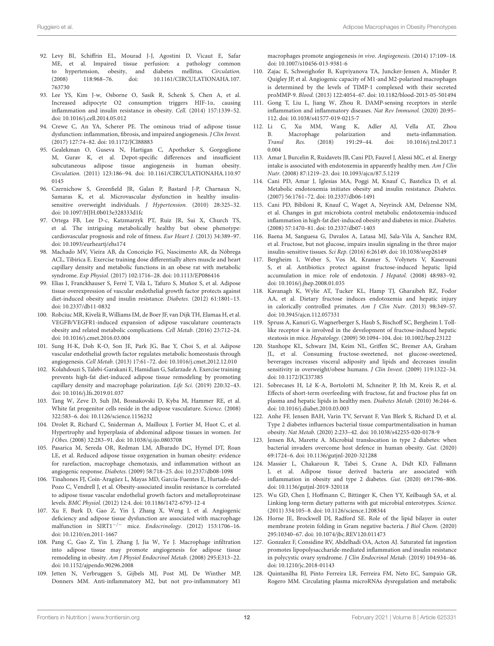- <span id="page-11-0"></span>92. Levy BI, Schiffrin EL, Mourad J-J, Agostini D, Vicaut E, Safar ME, et al. Impaired tissue perfusion: a pathology common to hypertension, obesity, and diabetes mellitus. Circulation. [\(2008\) 118:968–76. doi: 10.1161/CIRCULATIONAHA.107.](https://doi.org/10.1161/CIRCULATIONAHA.107.763730) 763730
- <span id="page-11-1"></span>93. Lee YS, Kim J-w, Osborne O, Sasik R, Schenk S, Chen A, et al. Increased adipocyte O2 consumption triggers HIF-1α, causing inflammation and insulin resistance in obesity. Cell. (2014) 157:1339–52. doi: [10.1016/j.cell.2014.05.012](https://doi.org/10.1016/j.cell.2014.05.012)
- <span id="page-11-2"></span>94. Crewe C, An YA, Scherer PE. The ominous triad of adipose tissue dysfunction: inflammation, fibrosis, and impaired angiogenesis. J Clin Invest. (2017) 127:74–82. doi: [10.1172/JCI88883](https://doi.org/10.1172/JCI88883)
- <span id="page-11-3"></span>95. Gealekman O, Guseva N, Hartigan C, Apotheker S, Gorgoglione M, Gurav K, et al. Depot-specific differences and insufficient subcutaneous adipose tissue angiogenesis in human obesity. Circulation. [\(2011\) 123:186–94. doi: 10.1161/CIRCULATIONAHA.110.97](https://doi.org/10.1161/CIRCULATIONAHA.110.970145) 0145
- <span id="page-11-4"></span>96. Czernichow S, Greenfield JR, Galan P, Bastard J-P, Charnaux N, Samaras K, et al. Microvascular dysfunction in healthy insulinsensitive overweight individuals. J Hypertension. (2010) 28:325–32. doi: [10.1097/HJH.0b013e328333d1fc](https://doi.org/10.1097/HJH.0b013e328333d1fc)
- 97. Ortega FB, Lee D-c, Katzmarzyk PT, Ruiz JR, Sui X, Church TS, et al. The intriguing metabolically healthy but obese phenotype: cardiovascular prognosis and role of fitness. Eur Heart J. (2013) 34:389–97. doi: [10.1093/eurheartj/ehs174](https://doi.org/10.1093/eurheartj/ehs174)
- <span id="page-11-5"></span>98. Machado MV, Vieira AB, da Conceição FG, Nascimento AR, da Nóbrega ACL, Tibirica E. Exercise training dose differentially alters muscle and heart capillary density and metabolic functions in an obese rat with metabolic syndrome. Exp Physiol. (2017) 102:1716–28. doi: [10.1113/EP086416](https://doi.org/10.1113/EP086416)
- <span id="page-11-6"></span>99. Elias I, Franckhauser S, Ferré T, Vilà L, Tafuro S, Muñoz S, et al. Adipose tissue overexpression of vascular endothelial growth factor protects against diet-induced obesity and insulin resistance. Diabetes. (2012) 61:1801–13. doi: [10.2337/db11-0832](https://doi.org/10.2337/db11-0832)
- 100. Robciuc MR, Kivelä R, Williams IM, de Boer JF, van Dijk TH, Elamaa H, et al. VEGFB/VEGFR1-induced expansion of adipose vasculature counteracts obesity and related metabolic complications. Cell Metab. (2016) 23:712–24. doi: [10.1016/j.cmet.2016.03.004](https://doi.org/10.1016/j.cmet.2016.03.004)
- <span id="page-11-7"></span>101. Sung H-K, Doh K-O, Son JE, Park JG, Bae Y, Choi S, et al. Adipose vascular endothelial growth factor regulates metabolic homeostasis through angiogenesis. Cell Metab. (2013) 17:61–72. doi: [10.1016/j.cmet.2012.12.010](https://doi.org/10.1016/j.cmet.2012.12.010)
- <span id="page-11-8"></span>102. Kolahdouzi S, Talebi-Garakani E, Hamidian G, Safarzade A. Exercise training prevents high-fat diet-induced adipose tissue remodeling by promoting capillary density and macrophage polarization. Life Sci. (2019) 220:32–43. doi: [10.1016/j.lfs.2019.01.037](https://doi.org/10.1016/j.lfs.2019.01.037)
- <span id="page-11-9"></span>103. Tang W, Zeve D, Suh JM, Bosnakovski D, Kyba M, Hammer RE, et al. White fat progenitor cells reside in the adipose vasculature. Science. (2008) 322:583–6. doi: [10.1126/science.1156232](https://doi.org/10.1126/science.1156232)
- <span id="page-11-10"></span>104. Drolet R, Richard C, Sniderman A, Mailloux J, Fortier M, Huot C, et al. Hypertrophy and hyperplasia of abdominal adipose tissues in women. Int J Obes. (2008) 32:283–91. doi: [10.1038/sj.ijo.0803708](https://doi.org/10.1038/sj.ijo.0803708)
- <span id="page-11-11"></span>105. Pasarica M, Sereda OR, Redman LM, Albarado DC, Hymel DT, Roan LE, et al. Reduced adipose tissue oxygenation in human obesity: evidence for rarefaction, macrophage chemotaxis, and inflammation without an angiogenic response. Diabetes. (2009) 58:718–25. doi: [10.2337/db08-1098](https://doi.org/10.2337/db08-1098)
- <span id="page-11-12"></span>106. Tinahones FJ, Coín-Aragüez L, Mayas MD, Garcia-Fuentes E, Hurtado-del-Pozo C, Vendrell J, et al. Obesity-associated insulin resistance is correlated to adipose tissue vascular endothelial growth factors and metalloproteinase levels. BMC Physiol. (2012) 12:4. doi: [10.1186/1472-6793-12-4](https://doi.org/10.1186/1472-6793-12-4)
- <span id="page-11-13"></span>107. Xu F, Burk D, Gao Z, Yin J, Zhang X, Weng J, et al. Angiogenic deficiency and adipose tissue dysfunction are associated with macrophage malfunction in SIRT1−/<sup>−</sup> mice. Endocrinology. (2012) 153:1706–16. doi: [10.1210/en.2011-1667](https://doi.org/10.1210/en.2011-1667)
- <span id="page-11-14"></span>108. Pang C, Gao Z, Yin J, Zhang J, Jia W, Ye J. Macrophage infiltration into adipose tissue may promote angiogenesis for adipose tissue remodeling in obesity. Am J Physiol Endocrinol Metab. (2008) 295:E313–22. doi: [10.1152/ajpendo.90296.2008](https://doi.org/10.1152/ajpendo.90296.2008)
- <span id="page-11-15"></span>109. Jetten N, Verbruggen S, Gijbels MJ, Post MJ, De Winther MP, Donners MM. Anti-inflammatory M2, but not pro-inflammatory M1

macrophages promote angiogenesis in vivo. Angiogenesis. (2014) 17:109–18. doi: [10.1007/s10456-013-9381-6](https://doi.org/10.1007/s10456-013-9381-6)

- <span id="page-11-16"></span>110. Zajac E, Schweighofer B, Kupriyanova TA, Juncker-Jensen A, Minder P, Quigley JP, et al. Angiogenic capacity of M1-and M2-polarized macrophages is determined by the levels of TIMP-1 complexed with their secreted proMMP-9. Blood. (2013) 122:4054–67. doi: [10.1182/blood-2013-05-501494](https://doi.org/10.1182/blood-2013-05-501494)
- <span id="page-11-17"></span>111. Gong T, Liu L, Jiang W, Zhou R. DAMP-sensing receptors in sterile inflammation and inflammatory diseases. Nat Rev Immunol. (2020) 20:95– 112. doi: [10.1038/s41577-019-0215-7](https://doi.org/10.1038/s41577-019-0215-7)
- <span id="page-11-18"></span>112. Li C, Xu MM, Wang K, Adler AJ, Vella AT, Zhou B. Macrophage polarization and meta-inflammation. Transl Res. [\(2018\) 191:29–44. doi: 10.1016/j.trsl.2017.1](https://doi.org/10.1016/j.trsl.2017.10.004) 0.004
- <span id="page-11-19"></span>113. Amar J, Burcelin R, Ruidavets JB, Cani PD, Fauvel J, Alessi MC, et al. Energy intake is associated with endotoxemia in apparently healthy men. Am J Clin Nutr. (2008) 87:1219–23. doi: [10.1093/ajcn/87.5.1219](https://doi.org/10.1093/ajcn/87.5.1219)
- <span id="page-11-20"></span>114. Cani PD, Amar J, Iglesias MA, Poggi M, Knauf C, Bastelica D, et al. Metabolic endotoxemia initiates obesity and insulin resistance. Diabetes. (2007) 56:1761–72. doi: [10.2337/db06-1491](https://doi.org/10.2337/db06-1491)
- <span id="page-11-21"></span>115. Cani PD, Bibiloni R, Knauf C, Waget A, Neyrinck AM, Delzenne NM, et al. Changes in gut microbiota control metabolic endotoxemia-induced inflammation in high-fat diet-induced obesity and diabetes in mice. Diabetes. (2008) 57:1470–81. doi: [10.2337/db07-1403](https://doi.org/10.2337/db07-1403)
- <span id="page-11-22"></span>116. Baena M, Sanguesa G, Davalos A, Latasa MJ, Sala-Vila A, Sanchez RM, et al. Fructose, but not glucose, impairs insulin signaling in the three major insulin-sensitive tissues. Sci Rep. (2016) 6:26149. doi: [10.1038/srep26149](https://doi.org/10.1038/srep26149)
- <span id="page-11-25"></span>117. Bergheim I, Weber S, Vos M, Kramer S, Volynets V, Kaserouni S, et al. Antibiotics protect against fructose-induced hepatic lipid accumulation in mice: role of endotoxin. J Hepatol. (2008) 48:983–92. doi: [10.1016/j.jhep.2008.01.035](https://doi.org/10.1016/j.jhep.2008.01.035)
- 118. Kavanagh K, Wylie AT, Tucker KL, Hamp TJ, Gharaibeh RZ, Fodor AA, et al. Dietary fructose induces endotoxemia and hepatic injury in calorically controlled primates. Am J Clin Nutr. (2013) 98:349–57. doi: [10.3945/ajcn.112.057331](https://doi.org/10.3945/ajcn.112.057331)
- 119. Spruss A, Kanuri G, Wagnerberger S, Haub S, Bischoff SC, Bergheim I. Tolllike receptor 4 is involved in the development of fructose-induced hepatic steatosis in mice. Hepatology. (2009) 50:1094–104. doi: [10.1002/hep.23122](https://doi.org/10.1002/hep.23122)
- <span id="page-11-23"></span>120. Stanhope KL, Schwarz JM, Keim NL, Griffen SC, Bremer AA, Graham JL, et al. Consuming fructose-sweetened, not glucose-sweetened, beverages increases visceral adiposity and lipids and decreases insulin sensitivity in overweight/obese humans. J Clin Invest. (2009) 119:1322–34. doi: [10.1172/JCI37385](https://doi.org/10.1172/JCI37385)
- <span id="page-11-24"></span>121. Sobrecases H, Lê K-A, Bortolotti M, Schneiter P, Ith M, Kreis R, et al. Effects of short-term overfeeding with fructose, fat and fructose plus fat on plasma and hepatic lipids in healthy men. Diabetes Metab. (2010) 36:244–6. doi: [10.1016/j.diabet.2010.03.003](https://doi.org/10.1016/j.diabet.2010.03.003)
- <span id="page-11-26"></span>122. Anhe FF, Jensen BAH, Varin TV, Servant F, Van Blerk S, Richard D, et al. Type 2 diabetes influences bacterial tissue compartmentalisation in human obesity. Nat Metab. (2020) 2:233–42. doi: [10.1038/s42255-020-0178-9](https://doi.org/10.1038/s42255-020-0178-9)
- 123. Jensen BA, Marette A. Microbial translocation in type 2 diabetes: when bacterial invaders overcome host defence in human obesity. Gut. (2020) 69:1724–6. doi: [10.1136/gutjnl-2020-321288](https://doi.org/10.1136/gutjnl-2020-321288)
- <span id="page-11-27"></span>124. Massier L, Chakaroun R, Tabei S, Crane A, Didt KD, Fallmann J, et al. Adipose tissue derived bacteria are associated with inflammation in obesity and type 2 diabetes. Gut. (2020) 69:1796–806. doi: [10.1136/gutjnl-2019-320118](https://doi.org/10.1136/gutjnl-2019-320118)
- <span id="page-11-28"></span>125. Wu GD, Chen J, Hoffmann C, Bittinger K, Chen YY, Keilbaugh SA, et al. Linking long-term dietary patterns with gut microbial enterotypes. Science. (2011) 334:105–8. doi: [10.1126/science.1208344](https://doi.org/10.1126/science.1208344)
- <span id="page-11-29"></span>126. Horne JE, Brockwell DJ, Radford SE. Role of the lipid bilayer in outer membrane protein folding in Gram negative bacteria. J Biol Chem. (2020) 295:10340–67. doi: [10.1074/jbc.REV120.011473](https://doi.org/10.1074/jbc.REV120.011473)
- <span id="page-11-30"></span>127. Gonzalez F, Considine RV, Abdelhadi OA, Acton AJ. Saturated fat ingestion promotes lipopolysaccharide-mediated inflammation and insulin resistance in polycystic ovary syndrome. J Clin Endocrinol Metab. (2019) 104:934–46. doi: [10.1210/jc.2018-01143](https://doi.org/10.1210/jc.2018-01143)
- 128. Quintanilha BJ, Pinto Ferreira LR, Ferreira FM, Neto EC, Sampaio GR, Rogero MM. Circulating plasma microRNAs dysregulation and metabolic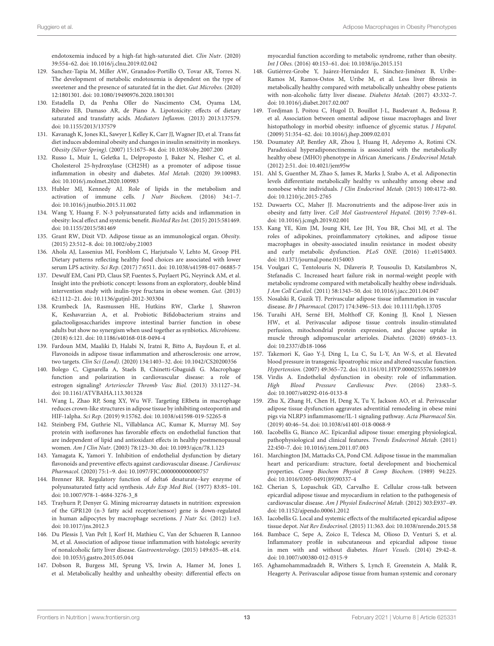endotoxemia induced by a high-fat high-saturated diet. Clin Nutr. (2020) 39:554–62. doi: [10.1016/j.clnu.2019.02.042](https://doi.org/10.1016/j.clnu.2019.02.042)

- <span id="page-12-0"></span>129. Sanchez-Tapia M, Miller AW, Granados-Portillo O, Tovar AR, Torres N. The development of metabolic endotoxemia is dependent on the type of sweetener and the presence of saturated fat in the diet. Gut Microbes. (2020) 12:1801301. doi: [10.1080/19490976.2020.1801301](https://doi.org/10.1080/19490976.2020.1801301)
- <span id="page-12-1"></span>130. Estadella D, da Penha Oller do Nascimento CM, Oyama LM, Ribeiro EB, Damaso AR, de Piano A. Lipotoxicity: effects of dietary saturated and transfatty acids. Mediators Inflamm. (2013) 2013:137579. doi: [10.1155/2013/137579](https://doi.org/10.1155/2013/137579)
- <span id="page-12-2"></span>131. Kavanagh K, Jones KL, Sawyer J, Kelley K, Carr JJ, Wagner JD, et al. Trans fat diet induces abdominal obesity and changes in insulin sensitivity in monkeys. Obesity (Silver Spring). (2007) 15:1675–84. doi: [10.1038/oby.2007.200](https://doi.org/10.1038/oby.2007.200)
- <span id="page-12-3"></span>132. Russo L, Muir L, Geletka L, Delproposto J, Baker N, Flesher C, et al. Cholesterol 25-hydroxylase (CH25H) as a promoter of adipose tissue inflammation in obesity and diabetes. Mol Metab. (2020) 39:100983. doi: [10.1016/j.molmet.2020.100983](https://doi.org/10.1016/j.molmet.2020.100983)
- <span id="page-12-4"></span>133. Hubler MJ, Kennedy AJ. Role of lipids in the metabolism and activation of immune cells. J Nutr Biochem. (2016) 34:1–7. doi: [10.1016/j.jnutbio.2015.11.002](https://doi.org/10.1016/j.jnutbio.2015.11.002)
- <span id="page-12-5"></span>134. Wang Y, Huang F. N-3 polyunsaturated fatty acids and inflammation in obesity: local effect and systemic benefit. BioMed Res Int. (2015) 2015:581469. doi: [10.1155/2015/581469](https://doi.org/10.1155/2015/581469)
- <span id="page-12-6"></span>135. Grant RW, Dixit VD. Adipose tissue as an immunological organ. Obesity. (2015) 23:512–8. doi: [10.1002/oby.21003](https://doi.org/10.1002/oby.21003)
- <span id="page-12-7"></span>136. Ahola AJ, Lassenius MI, Forsblom C, Harjutsalo V, Lehto M, Groop PH. Dietary patterns reflecting healthy food choices are associated with lower serum LPS activity. Sci Rep. (2017) 7:6511. doi: [10.1038/s41598-017-06885-7](https://doi.org/10.1038/s41598-017-06885-7)
- 137. Dewulf EM, Cani PD, Claus SP, Fuentes S, Puylaert PG, Neyrinck AM, et al. Insight into the prebiotic concept: lessons from an exploratory, double blind intervention study with inulin-type fructans in obese women. Gut. (2013) 62:1112–21. doi: [10.1136/gutjnl-2012-303304](https://doi.org/10.1136/gutjnl-2012-303304)
- <span id="page-12-8"></span>138. Krumbeck JA, Rasmussen HE, Hutkins RW, Clarke J, Shawron K, Keshavarzian A, et al. Probiotic Bifidobacterium strains and galactooligosaccharides improve intestinal barrier function in obese adults but show no synergism when used together as synbiotics. Microbiome. (2018) 6:121. doi: [10.1186/s40168-018-0494-4](https://doi.org/10.1186/s40168-018-0494-4)
- <span id="page-12-9"></span>139. Fardoun MM, Maaliki D, Halabi N, Iratni R, Bitto A, Baydoun E, et al. Flavonoids in adipose tissue inflammation and atherosclerosis: one arrow, two targets. Clin Sci (Lond). (2020) 134:1403–32. doi: [10.1042/CS20200356](https://doi.org/10.1042/CS20200356)
- <span id="page-12-10"></span>140. Bolego C, Cignarella A, Staels B, Chinetti-Gbaguidi G. Macrophage function and polarization in cardiovascular disease: a role of estrogen signaling? Arterioscler Thromb Vasc Biol. (2013) 33:1127–34. doi: [10.1161/ATVBAHA.113.301328](https://doi.org/10.1161/ATVBAHA.113.301328)
- <span id="page-12-11"></span>141. Wang L, Zhao RP, Song XY, Wu WF. Targeting ERbeta in macrophage reduces crown-like structures in adipose tissue by inhibiting osteopontin and HIF-1alpha. Sci Rep. (2019) 9:15762. doi: [10.1038/s41598-019-52265-8](https://doi.org/10.1038/s41598-019-52265-8)
- <span id="page-12-12"></span>142. Steinberg FM, Guthrie NL, Villablanca AC, Kumar K, Murray MJ. Soy protein with isoflavones has favorable effects on endothelial function that are independent of lipid and antioxidant effects in healthy postmenopausal women. Am J Clin Nutr. (2003) 78:123–30. doi: [10.1093/ajcn/78.1.123](https://doi.org/10.1093/ajcn/78.1.123)
- <span id="page-12-13"></span>143. Yamagata K, Yamori Y. Inhibition of endothelial dysfunction by dietary flavonoids and preventive effects against cardiovascular disease. J Cardiovasc Pharmacol. (2020) 75:1–9. doi: [10.1097/FJC.0000000000000757](https://doi.org/10.1097/FJC.0000000000000757)
- <span id="page-12-14"></span>144. Brenner RR. Regulatory function of delta6 desaturate–key enzyme of polyunsaturated fatty acid synthesis. Adv Exp Med Biol. (1977) 83:85–101. doi: [10.1007/978-1-4684-3276-3\\_8](https://doi.org/10.1007/978-1-4684-3276-3_8)
- <span id="page-12-15"></span>145. Trayhurn P, Denyer G. Mining microarray datasets in nutrition: expression of the GPR120 (n-3 fatty acid receptor/sensor) gene is down-regulated in human adipocytes by macrophage secretions. J Nutr Sci. (2012) 1:e3. doi: [10.1017/jns.2012.3](https://doi.org/10.1017/jns.2012.3)
- <span id="page-12-16"></span>146. Du Plessis J, Van Pelt J, Korf H, Mathieu C, Van der Schueren B, Lannoo M, et al. Association of adipose tissue inflammation with histologic severity of nonalcoholic fatty liver disease. Gastroenterology. (2015) 149:635–48. e14. doi: [10.1053/j.gastro.2015.05.044](https://doi.org/10.1053/j.gastro.2015.05.044)
- <span id="page-12-17"></span>147. Dobson R, Burgess MI, Sprung VS, Irwin A, Hamer M, Jones J, et al. Metabolically healthy and unhealthy obesity: differential effects on

myocardial function according to metabolic syndrome, rather than obesity. Int J Obes. (2016) 40:153–61. doi: [10.1038/ijo.2015.151](https://doi.org/10.1038/ijo.2015.151)

- <span id="page-12-18"></span>148. Gutiérrez-Grobe Y, Juárez-Hernández E, Sánchez-Jiménez B, Uribe-Ramos M, Ramos-Ostos M, Uribe M, et al. Less liver fibrosis in metabolically healthy compared with metabolically unhealthy obese patients with non-alcoholic fatty liver disease. Diabetes Metab. (2017) 43:332–7. doi: [10.1016/j.diabet.2017.02.007](https://doi.org/10.1016/j.diabet.2017.02.007)
- <span id="page-12-19"></span>149. Tordjman J, Poitou C, Hugol D, Bouillot J-L, Basdevant A, Bedossa P, et al. Association between omental adipose tissue macrophages and liver histopathology in morbid obesity: influence of glycemic status. J Hepatol. (2009) 51:354–62. doi: [10.1016/j.jhep.2009.02.031](https://doi.org/10.1016/j.jhep.2009.02.031)
- <span id="page-12-20"></span>150. Doumatey AP, Bentley AR, Zhou J, Huang H, Adeyemo A, Rotimi CN. Paradoxical hyperadiponectinemia is associated with the metabolically healthy obese (MHO) phenotype in African Americans. J Endocrinol Metab. (2012) 2:51. doi: [10.4021/jem95w](https://doi.org/10.4021/jem95w)
- 151. Ahl S, Guenther M, Zhao S, James R, Marks J, Szabo A, et al. Adiponectin levels differentiate metabolically healthy vs unhealthy among obese and nonobese white individuals. J Clin Endocrinol Metab. (2015) 100:4172–80. doi: [10.1210/jc.2015-2765](https://doi.org/10.1210/jc.2015-2765)
- <span id="page-12-21"></span>152. Duwaerts CC, Maher JJ. Macronutrients and the adipose-liver axis in obesity and fatty liver. Cell Mol Gastroenterol Hepatol. (2019) 7:749–61. doi: [10.1016/j.jcmgh.2019.02.001](https://doi.org/10.1016/j.jcmgh.2019.02.001)
- <span id="page-12-22"></span>153. Kang YE, Kim JM, Joung KH, Lee JH, You BR, Choi MJ, et al. The roles of adipokines, proinflammatory cytokines, and adipose tissue macrophages in obesity-associated insulin resistance in modest obesity and early metabolic dysfunction. PLoS ONE. (2016) 11:e0154003. doi: [10.1371/journal.pone.0154003](https://doi.org/10.1371/journal.pone.0154003)
- <span id="page-12-23"></span>154. Voulgari C, Tentolouris N, Dilaveris P, Tousoulis D, Katsilambros N, Stefanadis C. Increased heart failure risk in normal-weight people with metabolic syndrome compared with metabolically healthy obese individuals. J Am Coll Cardiol. (2011) 58:1343–50. doi: [10.1016/j.jacc.2011.04.047](https://doi.org/10.1016/j.jacc.2011.04.047)
- <span id="page-12-24"></span>155. Nosalski R, Guzik TJ. Perivascular adipose tissue inflammation in vascular disease. Br J Pharmacol. (2017) 174:3496–513. doi: [10.1111/bph.13705](https://doi.org/10.1111/bph.13705)
- <span id="page-12-25"></span>156. Turaihi AH, Serné EH, Molthoff CF, Koning JJ, Knol J, Niessen HW, et al. Perivascular adipose tissue controls insulin-stimulated perfusion, mitochondrial protein expression, and glucose uptake in muscle through adipomuscular arterioles. Diabetes. (2020) 69:603–13. doi: [10.2337/db18-1066](https://doi.org/10.2337/db18-1066)
- <span id="page-12-26"></span>157. Takemori K, Gao Y-J, Ding L, Lu C, Su L-Y, An W-S, et al. Elevated blood pressure in transgenic lipoatrophic mice and altered vascular function. Hypertension. (2007) 49:365–72. doi: [10.1161/01.HYP.0000255576.16089.b9](https://doi.org/10.1161/01.HYP.0000255576.16089.b9)
- <span id="page-12-27"></span>158. Virdis A. Endothelial dysfunction in obesity: role of inflammation. High Blood Pressure Cardiovasc Prev. (2016) 23:83–5. doi: [10.1007/s40292-016-0133-8](https://doi.org/10.1007/s40292-016-0133-8)
- <span id="page-12-28"></span>159. Zhu X, Zhang H, Chen H, Deng X, Tu Y, Jackson AO, et al. Perivascular adipose tissue dysfunction aggravates adventitial remodeling in obese mini pigs via NLRP3 inflammasome/IL-1 signaling pathway. Acta Pharmacol Sin. (2019) 40:46–54. doi: [10.1038/s41401-018-0068-9](https://doi.org/10.1038/s41401-018-0068-9)
- <span id="page-12-29"></span>160. Iacobellis G, Bianco AC. Epicardial adipose tissue: emerging physiological, pathophysiological and clinical features. Trends Endocrinol Metab. (2011) 22:450–7. doi: [10.1016/j.tem.2011.07.003](https://doi.org/10.1016/j.tem.2011.07.003)
- <span id="page-12-30"></span>161. Marchington JM, Mattacks CA, Pond CM. Adipose tissue in the mammalian heart and pericardium: structure, foetal development and biochemical properties. Comp Biochem Physiol B Comp Biochem. (1989) 94:225. doi: [10.1016/0305-0491\(89\)90337-4](https://doi.org/10.1016/0305-0491(89)90337-4)
- <span id="page-12-31"></span>162. Cherian S, Lopaschuk GD, Carvalho E. Cellular cross-talk between epicardial adipose tissue and myocardium in relation to the pathogenesis of cardiovascular disease. Am J Physiol Endocrinol Metab. (2012) 303:E937–49. doi: [10.1152/ajpendo.00061.2012](https://doi.org/10.1152/ajpendo.00061.2012)
- <span id="page-12-32"></span>163. Iacobellis G. Local and systemic effects of the multifaceted epicardial adipose tissue depot. Nat Rev Endocrinol. (2015) 11:363. doi: [10.1038/nrendo.2015.58](https://doi.org/10.1038/nrendo.2015.58)
- <span id="page-12-33"></span>164. Bambace C, Sepe A, Zoico E, Telesca M, Olioso D, Venturi S, et al. Inflammatory profile in subcutaneous and epicardial adipose tissue in men with and without diabetes. Heart Vessels. (2014) 29:42–8. doi: [10.1007/s00380-012-0315-9](https://doi.org/10.1007/s00380-012-0315-9)
- <span id="page-12-34"></span>165. Aghamohammadzadeh R, Withers S, Lynch F, Greenstein A, Malik R, Heagerty A. Perivascular adipose tissue from human systemic and coronary